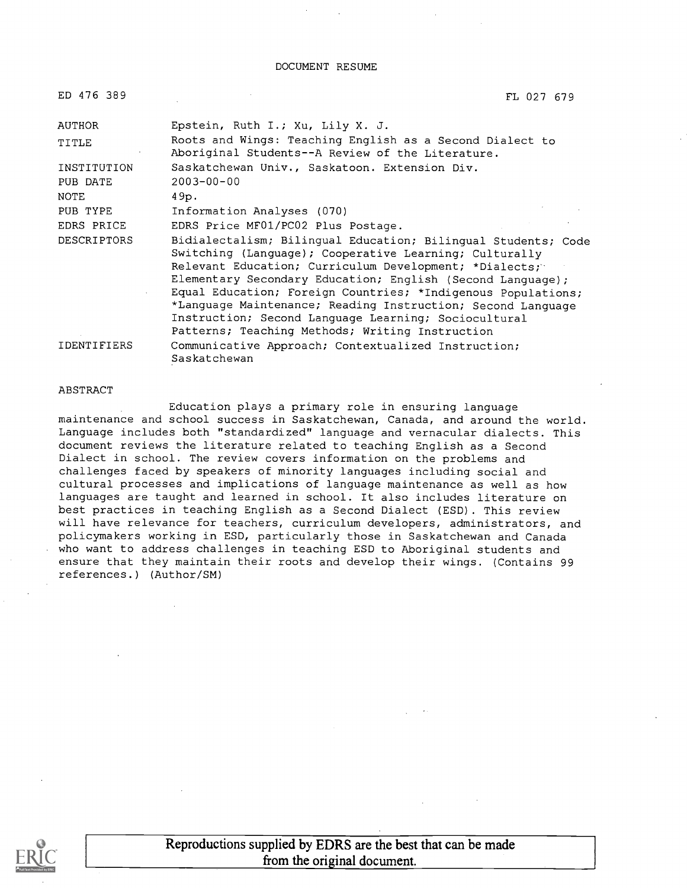DOCUMENT RESUME

| ED 476 389                       | FL 027 679                                                                                                                                                                                                                                                                                                                                                                     |  |  |
|----------------------------------|--------------------------------------------------------------------------------------------------------------------------------------------------------------------------------------------------------------------------------------------------------------------------------------------------------------------------------------------------------------------------------|--|--|
| AUTHOR                           | Epstein, Ruth I.; Xu, Lily X. J.                                                                                                                                                                                                                                                                                                                                               |  |  |
| TITLE                            | Roots and Wings: Teaching English as a Second Dialect to<br>Aboriginal Students--A Review of the Literature.                                                                                                                                                                                                                                                                   |  |  |
| INSTITUTION                      | Saskatchewan Univ., Saskatoon. Extension Div.                                                                                                                                                                                                                                                                                                                                  |  |  |
| PUB DATE                         | $2003 - 00 - 00$                                                                                                                                                                                                                                                                                                                                                               |  |  |
| NOTE                             | 49p.                                                                                                                                                                                                                                                                                                                                                                           |  |  |
| PUB TYPE                         | Information Analyses (070)                                                                                                                                                                                                                                                                                                                                                     |  |  |
| EDRS PRICE                       | EDRS Price MF01/PC02 Plus Postage.                                                                                                                                                                                                                                                                                                                                             |  |  |
| <b>DESCRIPTORS</b><br>$\epsilon$ | Bidialectalism; Bilingual Education; Bilingual Students; Code<br>Switching (Language); Cooperative Learning; Culturally<br>Relevant Education; Curriculum Development; *Dialects;<br>Elementary Secondary Education; English (Second Language);<br>Equal Education; Foreign Countries; *Indigenous Populations;<br>*Language Maintenance; Reading Instruction; Second Language |  |  |
|                                  | Instruction; Second Language Learning; Sociocultural<br>Patterns; Teaching Methods; Writing Instruction                                                                                                                                                                                                                                                                        |  |  |
| IDENTIFIERS                      | Communicative Approach; Contextualized Instruction;                                                                                                                                                                                                                                                                                                                            |  |  |

#### ABSTRACT

Saskatchewan

Education plays a primary role in ensuring language maintenance and school success in Saskatchewan, Canada, and around the world. Language includes both "standardized" language and vernacular dialects. This document reviews the literature related to teaching English as a Second Dialect in school. The review covers information on the problems and challenges faced by speakers of minority languages including social and cultural processes and implications of language maintenance as well as how languages are taught and learned in school. It also includes literature on best practices in teaching English as a Second Dialect (ESD). This review will have relevance for teachers, curriculum developers, administrators, and policymakers working in ESD, particularly those in Saskatchewan and Canada who want to address challenges in teaching ESD to Aboriginal students and ensure that they maintain their roots and develop their wings. (Contains 99 references.) (Author/SM)



Reproductions supplied by EDRS are the best that can be made from the original document.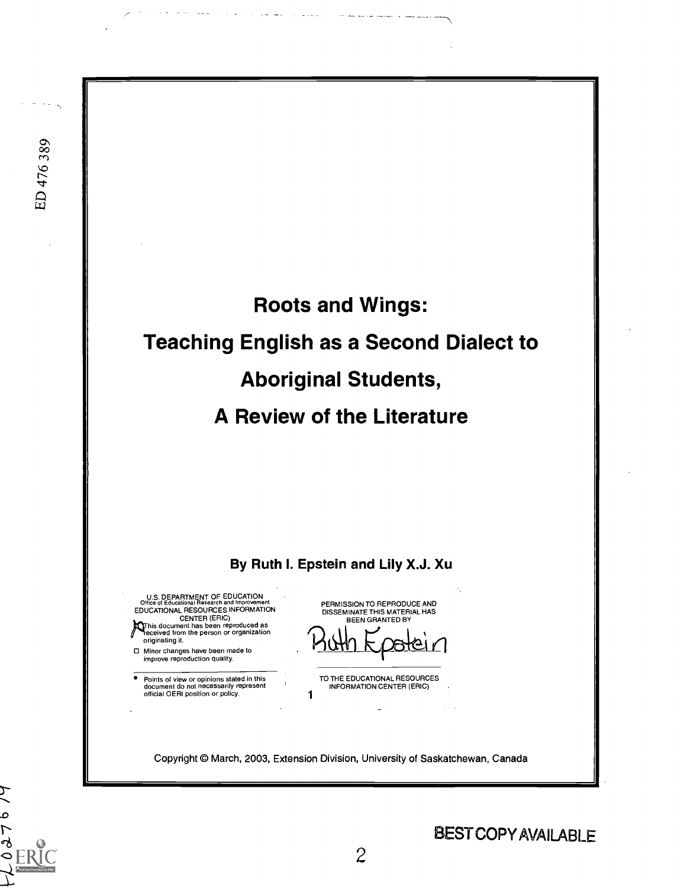

 $0.37$  6/7

 $\mathcal{L} = \mathcal{L} \mathcal{L}$ 

والمحادث والمستعدد والانتقاضة المداري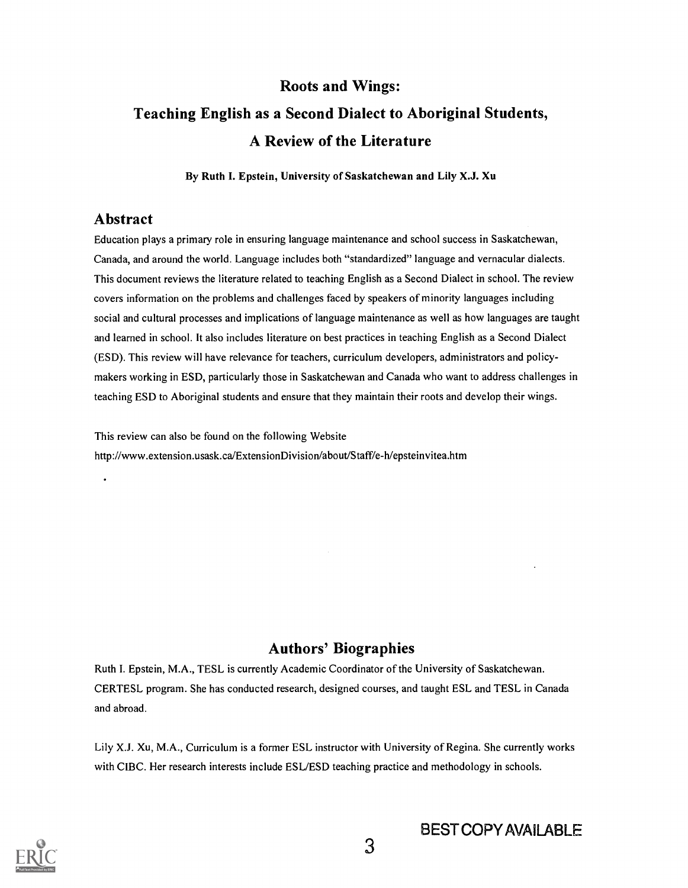## Roots and Wings:

# Teaching English as a Second Dialect to Aboriginal Students, A Review of the Literature

By Ruth I. Epstein, University of Saskatchewan and Lily X.J. Xu

## Abstract

Education plays a primary role in ensuring language maintenance and school success in Saskatchewan, Canada, and around the world. Language includes both "standardized" language and vernacular dialects. This document reviews the literature related to teaching English as a Second Dialect in school. The review covers information on the problems and challenges faced by speakers of minority languages including social and cultural processes and implications of language maintenance as well as how languages are taught and learned in school. It also includes literature on best practices in teaching English as a Second Dialect (ESD). This review will have relevance for teachers, curriculum developers, administrators and policymakers working in ESD, particularly those in Saskatchewan and Canada who want to address challenges in teaching ESD to Aboriginal students and ensure that they maintain their roots and develop their wings.

This review can also be found on the following Website http://www.extension.usask.ca/ExtensionDivision/about/Staff/e-h/epsteinvitea.htm

## Authors' Biographies

Ruth I. Epstein, M.A., TESL is currently Academic Coordinator of the University of Saskatchewan. CERTESL program. She has conducted research, designed courses, and taught ESL and TESL in Canada and abroad.

Lily X.J. Xu, M.A., Curriculum is a former ESL instructor with University of Regina. She currently works with CIBC. Her research interests include ESL/ESD teaching practice and methodology in schools.

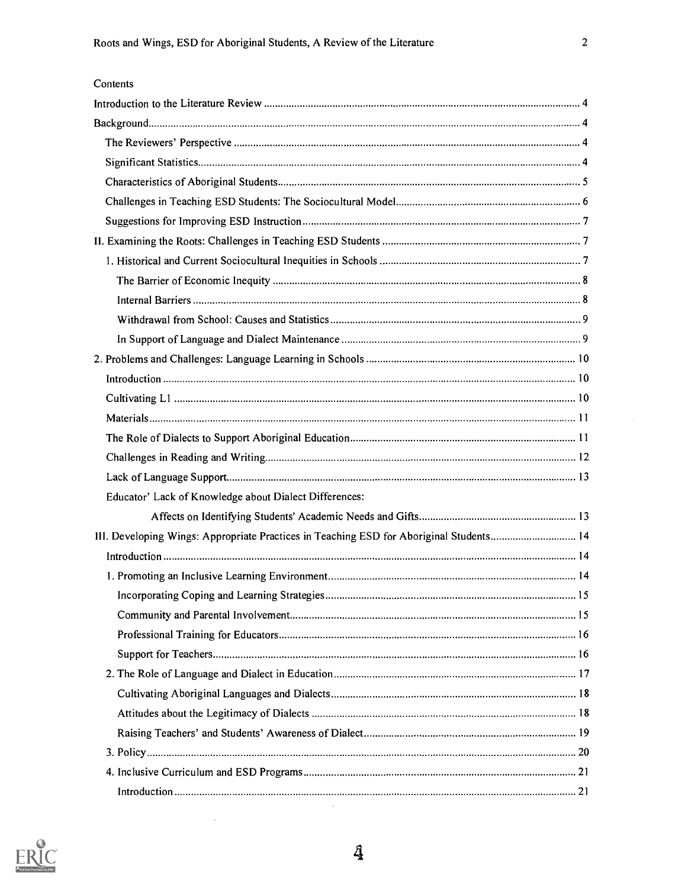### Contents

| Educator' Lack of Knowledge about Dialect Differences:                                  |  |
|-----------------------------------------------------------------------------------------|--|
|                                                                                         |  |
| III. Developing Wings: Appropriate Practices in Teaching ESD for Aboriginal Students 14 |  |
|                                                                                         |  |
|                                                                                         |  |
|                                                                                         |  |
|                                                                                         |  |
|                                                                                         |  |
|                                                                                         |  |
|                                                                                         |  |
|                                                                                         |  |
|                                                                                         |  |
|                                                                                         |  |
|                                                                                         |  |
|                                                                                         |  |
|                                                                                         |  |



 $\hat{\boldsymbol{\beta}}$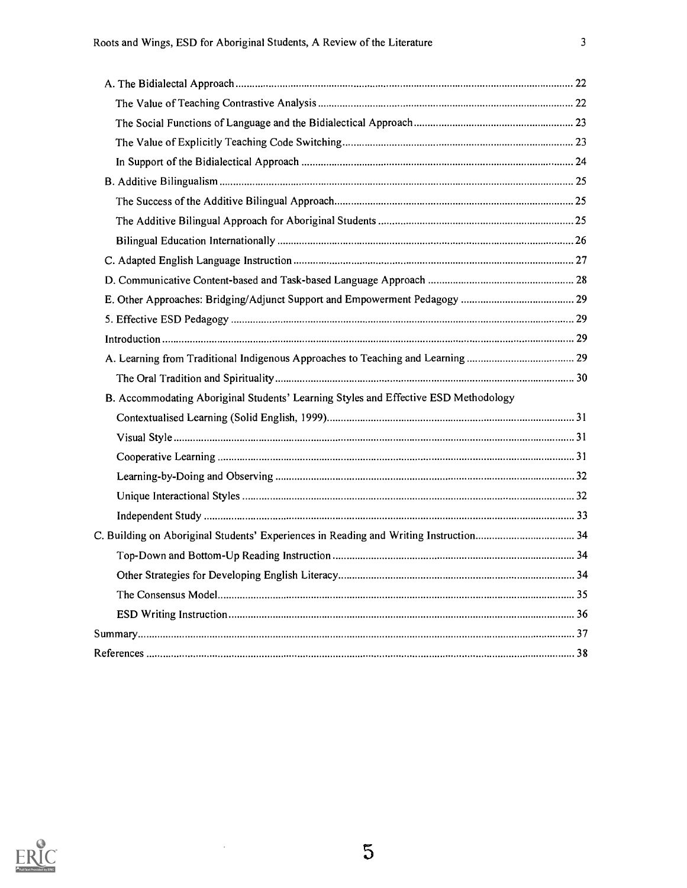| A. Learning from Traditional Indigenous Approaches to Teaching and Learning  29     |  |  |
|-------------------------------------------------------------------------------------|--|--|
|                                                                                     |  |  |
| B. Accommodating Aboriginal Students' Learning Styles and Effective ESD Methodology |  |  |
|                                                                                     |  |  |
|                                                                                     |  |  |
|                                                                                     |  |  |
|                                                                                     |  |  |
|                                                                                     |  |  |
|                                                                                     |  |  |
|                                                                                     |  |  |
|                                                                                     |  |  |
|                                                                                     |  |  |
|                                                                                     |  |  |
|                                                                                     |  |  |
|                                                                                     |  |  |
|                                                                                     |  |  |



5

 $\bar{\gamma}$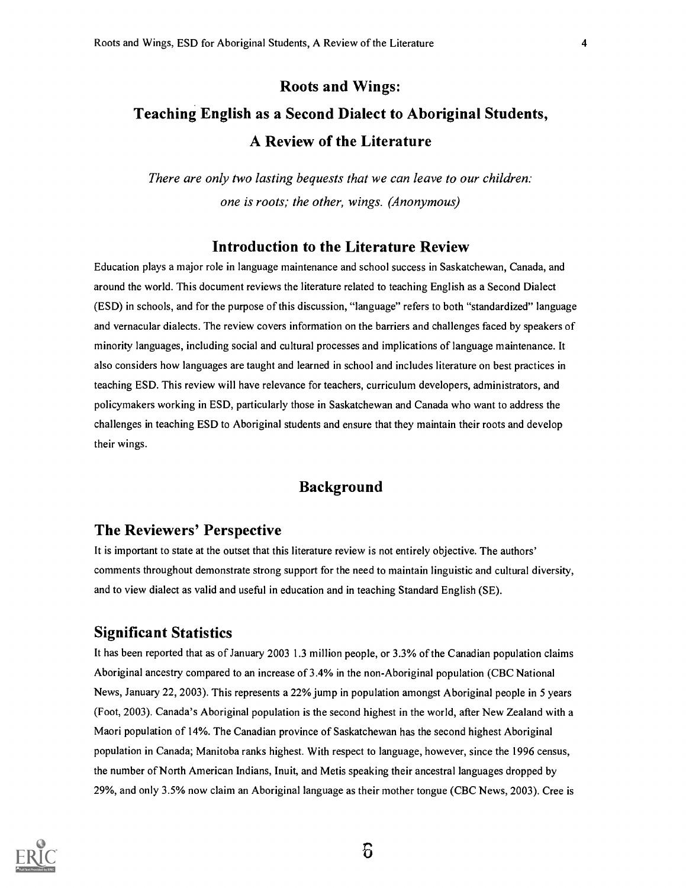# Roots and Wings: Teaching English as a Second Dialect to Aboriginal Students, A Review of the Literature

There are only two lasting bequests that we can leave to our children: one is roots; the other, wings. (Anonymous)

## Introduction to the Literature Review

Education plays a major role in language maintenance and school success in Saskatchewan, Canada, and around the world. This document reviews the literature related to teaching English as a Second Dialect (ESD) in schools, and for the purpose of this discussion, "language" refers to both "standardized" language and vernacular dialects. The review covers information on the barriers and challenges faced by speakers of minority languages, including social and cultural processes and implications of language maintenance. It also considers how languages are taught and learned in school and includes literature on best practices in teaching ESD. This review will have relevance for teachers, curriculum developers, administrators, and policymakers working in ESD, particularly those in Saskatchewan and Canada who want to address the challenges in teaching ESD to Aboriginal students and ensure that they maintain their roots and develop their wings.

## Background

## The Reviewers' Perspective

It is important to state at the outset that this literature review is not entirely objective. The authors' comments throughout demonstrate strong support for the need to maintain linguistic and cultural diversity, and to view dialect as valid and useful in education and in teaching Standard English (SE).

## Significant Statistics

It has been reported that as of January 2003 1.3 million people, or 3.3% of the Canadian population claims Aboriginal ancestry compared to an increase of 3.4% in the non-Aboriginal population (CBC National News, January 22, 2003). This represents a 22% jump in population amongst Aboriginal people in 5 years (Foot, 2003). Canada's Aboriginal population is the second highest in the world, after New Zealand with a Maori population of 14%. The Canadian province of Saskatchewan has the second highest Aboriginal population in Canada; Manitoba ranks highest. With respect to language, however, since the 1996 census, the number of North American Indians, Inuit, and Metis speaking their ancestral languages dropped by 29%, and only 3.5% now claim an Aboriginal language as their mother tongue (CBC News, 2003). Cree is

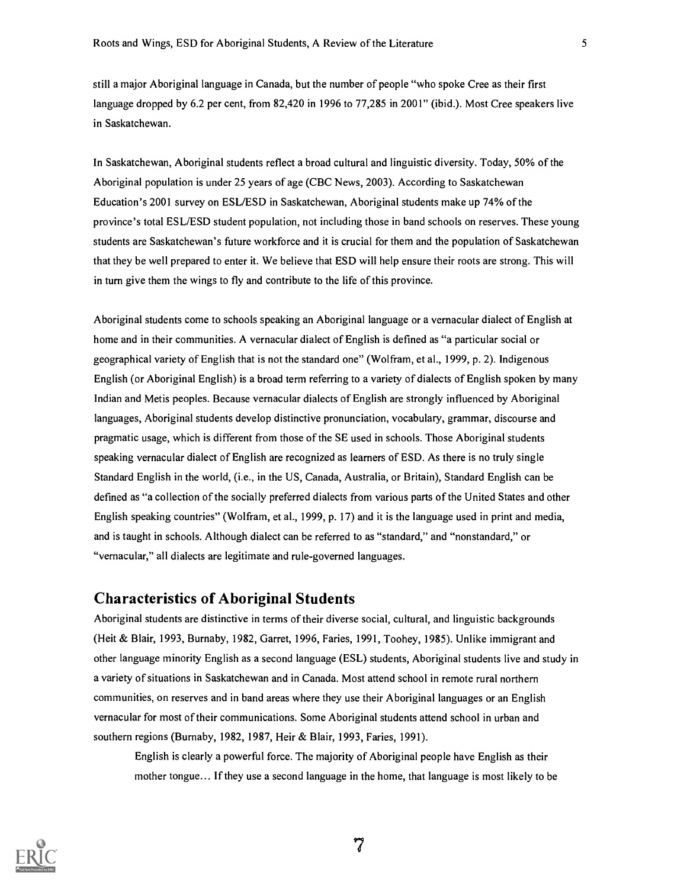still a major Aboriginal language in Canada, but the number of people "who spoke Cree as their first language dropped by 6.2 per cent, from 82,420 in 1996 to 77,285 in 2001" (ibid.). Most Cree speakers live in Saskatchewan.

In Saskatchewan, Aboriginal students reflect a broad cultural and linguistic diversity. Today, 50% of the Aboriginal population is under 25 years of age (CBC News, 2003). According to Saskatchewan Education's 2001 survey on ESL/ESD in Saskatchewan, Aboriginal students make up 74% of the province's total ESL/ESD student population, not including those in band schools on reserves. These young students are Saskatchewan's future workforce and it is crucial for them and the population of Saskatchewan that they be well prepared to enter it. We believe that ESD will help ensure their roots are strong. This will in turn give them the wings to fly and contribute to the life of this province.

Aboriginal students come to schools speaking an Aboriginal language or a vernacular dialect of English at home and in their communities. A vernacular dialect of English is defined as "a particular social or geographical variety of English that is not the standard one" (Wolfram, et al., 1999, p. 2). Indigenous English (or Aboriginal English) is a broad term referring to a variety of dialects of English spoken by many Indian and Metis peoples. Because vernacular dialects of English are strongly influenced by Aboriginal languages, Aboriginal students develop distinctive pronunciation, vocabulary, grammar, discourse and pragmatic usage, which is different from those of the SE used in schools. Those Aboriginal students speaking vernacular dialect of English are recognized as learners of ESD. As there is no truly single Standard English in the world, (i.e., in the US, Canada, Australia, or Britain), Standard English can be defined as "a collection of the socially preferred dialects from various parts of the United States and other English speaking countries" (Wolfram, et al., 1999, p. 17) and it is the language used in print and media, and is taught in schools. Although dialect can be referred to as "standard," and "nonstandard," or "vernacular," all dialects are legitimate and rule-governed languages.

## Characteristics of Aboriginal Students

Aboriginal students are distinctive in terms of their diverse social, cultural, and linguistic backgrounds (Heit & Blair, 1993, Burnaby, 1982, Garret, 1996, Faries, 1991, Toohey, 1985). Unlike immigrant and other language minority English as a second language (ESL) students, Aboriginal students live and study in a variety of situations in Saskatchewan and in Canada. Most attend school in remote rural northern communities, on reserves and in band areas where they use their Aboriginal languages or an English vernacular for most of their communications. Some Aboriginal students attend school in urban and southern regions (Burnaby, 1982, 1987, Heir & Blair, 1993, Faries, 1991).

English is clearly a powerful force. The majority of Aboriginal people have English as their mother tongue... If they use a second language in the home, that language is most likely to be

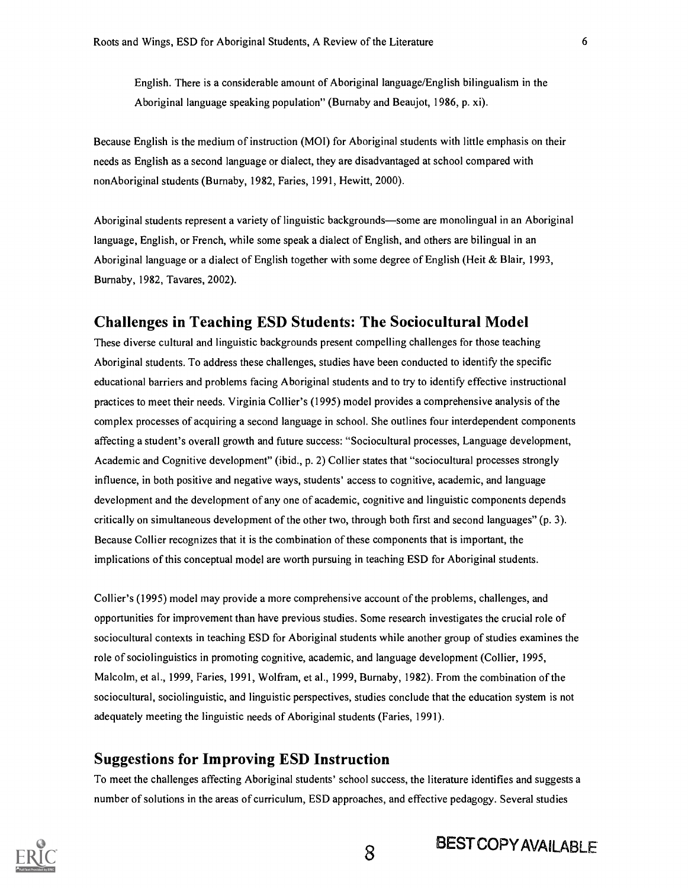English. There is a considerable amount of Aboriginal language/English bilingualism in the Aboriginal language speaking population" (Burnaby and Beaujot, 1986, p. xi).

Because English is the medium of instruction (MOI) for Aboriginal students with little emphasis on their needs as English as a second language or dialect, they are disadvantaged at school compared with nonAboriginal students (Burnaby, 1982, Faries, 1991, Hewitt, 2000).

Aboriginal students represent a variety of linguistic backgrounds—some are monolingual in an Aboriginal language, English, or French, while some speak a dialect of English, and others are bilingual in an Aboriginal language or a dialect of English together with some degree of English (Heit & Blair, 1993, Burnaby, 1982, Tavares, 2002).

## Challenges in Teaching ESD Students: The Sociocultural Model

These diverse cultural and linguistic backgrounds present compelling challenges for those teaching Aboriginal students. To address these challenges, studies have been conducted to identify the specific educational barriers and problems facing Aboriginal students and to try to identify effective instructional practices to meet their needs. Virginia Collier's (1995) model provides a comprehensive analysis of the complex processes of acquiring a second language in school. She outlines four interdependent components affecting a student's overall growth and future success: "Sociocultural processes, Language development, Academic and Cognitive development" (ibid., p. 2) Collier states that "sociocultural processes strongly influence, in both positive and negative ways, students' access to cognitive, academic, and language development and the development of any one of academic, cognitive and linguistic components depends critically on simultaneous development of the other two, through both first and second languages" (p. 3). Because Collier recognizes that it is the combination of these components that is important, the implications of this conceptual model are worth pursuing in teaching ESD for Aboriginal students.

Collier's (1995) model may provide a more comprehensive account of the problems, challenges, and opportunities for improvement than have previous studies. Some research investigates the crucial role of sociocultural contexts in teaching ESD for Aboriginal students while another group of studies examines the role of sociolinguistics in promoting cognitive, academic, and language development (Collier, 1995, Malcolm, et al., 1999, Faries, 1991, Wolfram, et al., 1999, Burnaby, 1982). From the combination of the sociocultural, sociolinguistic, and linguistic perspectives, studies conclude that the education system is not adequately meeting the linguistic needs of Aboriginal students (Faries, 1991).

## Suggestions for Improving ESD Instruction

To meet the challenges affecting Aboriginal students' school success, the literature identifies and suggests a number of solutions in the areas of curriculum, ESD approaches, and effective pedagogy. Several studies

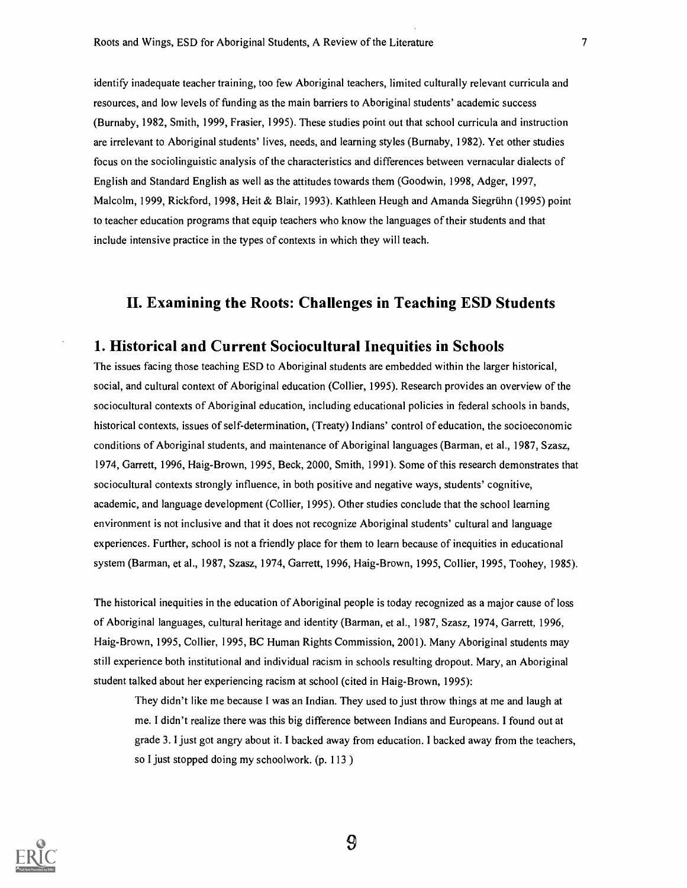identify inadequate teacher training, too few Aboriginal teachers, limited culturally relevant curricula and resources, and low levels of funding as the main barriers to Aboriginal students' academic success (Burnaby, 1982, Smith, 1999, Frasier, 1995). These studies point out that school curricula and instruction are irrelevant to Aboriginal students' lives, needs, and learning styles (Burnaby, 1982). Yet other studies focus on the sociolinguistic analysis of the characteristics and differences between vernacular dialects of English and Standard English as well as the attitudes towards them (Goodwin, 1998, Adger, 1997, Malcolm, 1999, Rickford, 1998, Heit & Blair, 1993). Kathleen Heugh and Amanda Siegriihn (1995) point to teacher education programs that equip teachers who know the languages of their students and that include intensive practice in the types of contexts in which they will teach.

## II. Examining the Roots: Challenges in Teaching ESD Students

## 1. Historical and Current Sociocultural Inequities in Schools

The issues facing those teaching ESD to Aboriginal students are embedded within the larger historical, social, and cultural context of Aboriginal education (Collier, 1995). Research provides an overview of the sociocultural contexts of Aboriginal education, including educational policies in federal schools in bands, historical contexts, issues of self-determination, (Treaty) Indians' control of education, the socioeconomic conditions of Aboriginal students, and maintenance of Aboriginal languages (Barman, et al., 1987, Szasz, 1974, Garrett, 1996, Haig-Brown, 1995, Beck, 2000, Smith, 1991). Some of this research demonstrates that sociocultural contexts strongly influence, in both positive and negative ways, students' cognitive, academic, and language development (Collier, 1995). Other studies conclude that the school learning environment is not inclusive and that it does not recognize Aboriginal students' cultural and language experiences. Further, school is not a friendly place for them to learn because of inequities in educational system (Barman, et al., 1987, Szasz, 1974, Garrett, 1996, Haig-Brown, 1995, Collier, 1995, Toohey, 1985).

The historical inequities in the education of Aboriginal people is today recognized as a major cause of loss of Aboriginal languages, cultural heritage and identity (Barman, et al., 1987, Szasz, 1974, Garrett, 1996, Haig-Brown, 1995, Collier, 1995, BC Human Rights Commission, 2001). Many Aboriginal students may still experience both institutional and individual racism in schools resulting dropout. Mary, an Aboriginal student talked about her experiencing racism at school (cited in Haig-Brown, 1995):

They didn't like me because I was an Indian. They used to just throw things at me and laugh at me. I didn't realize there was this big difference between Indians and Europeans. I found out at grade 3. I just got angry about it. I backed away from education. I backed away from the teachers, so I just stopped doing my schoolwork. (p. 113 )

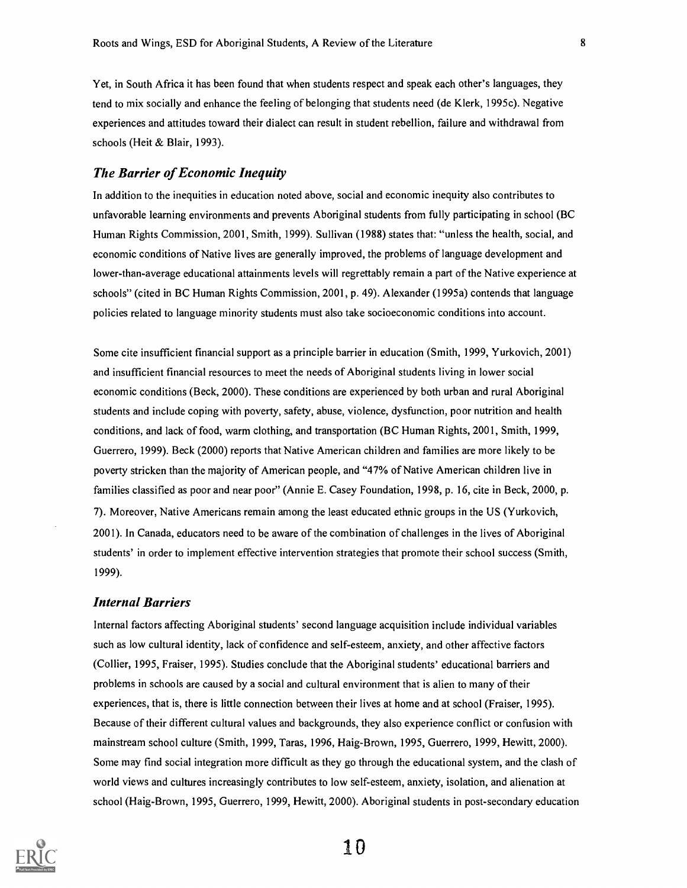Yet, in South Africa it has been found that when students respect and speak each other's languages, they tend to mix socially and enhance the feeling of belonging that students need (de Klerk, 1995c). Negative experiences and attitudes toward their dialect can result in student rebellion, failure and withdrawal from schools (Heit & Blair, 1993).

#### The Barrier of Economic Inequity

In addition to the inequities in education noted above, social and economic inequity also contributes to unfavorable learning environments and prevents Aboriginal students from fully participating in school (BC Human Rights Commission, 2001, Smith, 1999). Sullivan (1988) states that: "unless the health, social, and economic conditions of Native lives are generally improved, the problems of language development and lower-than-average educational attainments levels will regrettably remain a part of the Native experience at schools" (cited in BC Human Rights Commission, 2001, p. 49). Alexander (1995a) contends that language policies related to language minority students must also take socioeconomic conditions into account.

Some cite insufficient financial support as a principle barrier in education (Smith, 1999, Yurkovich, 2001) and insufficient financial resources to meet the needs of Aboriginal students living in lower social economic conditions (Beck, 2000). These conditions are experienced by both urban and rural Aboriginal students and include coping with poverty, safety, abuse, violence, dysfunction, poor nutrition and health conditions, and lack of food, warm clothing, and transportation (BC Human Rights, 2001, Smith, 1999, Guerrero, 1999). Beck (2000) reports that Native American children and families are more likely to be poverty stricken than the majority of American people, and "47% of Native American children live in families classified as poor and near poor" (Annie E. Casey Foundation, 1998, p. 16, cite in Beck, 2000, p. 7). Moreover, Native Americans remain among the least educated ethnic groups in the US (Yurkovich, 2001). In Canada, educators need to be aware of the combination of challenges in the lives of Aboriginal students' in order to implement effective intervention strategies that promote their school success (Smith, 1999).

#### Internal Barriers

Internal factors affecting Aboriginal students' second language acquisition include individual variables such as low cultural identity, lack of confidence and self-esteem, anxiety, and other affective factors (Collier, 1995, Fraiser, 1995). Studies conclude that the Aboriginal students' educational barriers and problems in schools are caused by a social and cultural environment that is alien to many of their experiences, that is, there is little connection between their lives at home and at school (Fraiser, 1995). Because of their different cultural values and backgrounds, they also experience conflict or confusion with mainstream school culture (Smith, 1999, Taras, 1996, Haig-Brown, 1995, Guerrero, 1999, Hewitt, 2000). Some may find social integration more difficult as they go through the educational system, and the clash of world views and cultures increasingly contributes to low self-esteem, anxiety, isolation, and alienation at school (Haig-Brown, 1995, Guerrero, 1999, Hewitt, 2000). Aboriginal students in post-secondary education

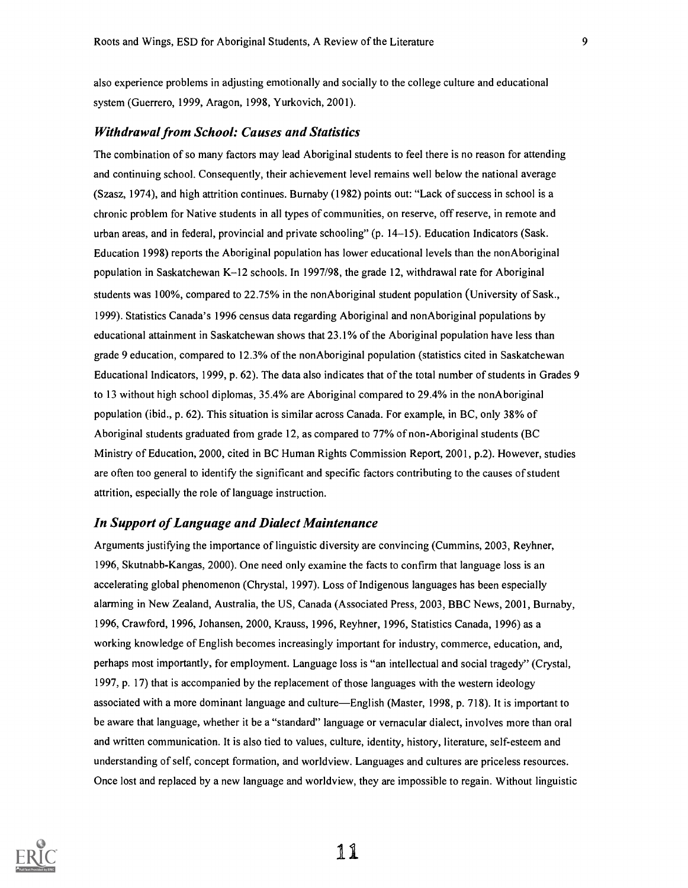also experience problems in adjusting emotionally and socially to the college culture and educational system (Guerrero, 1999, Aragon, 1998, Yurkovich, 2001).

#### Withdrawal from School: Causes and Statistics

The combination of so many factors may lead Aboriginal students to feel there is no reason for attending and continuing school. Consequently, their achievement level remains well below the national average (Szasz, 1974), and high attrition continues. Bumaby (1982) points out: "Lack of success in school is a chronic problem for Native students in all types of communities, on reserve, off reserve, in remote and urban areas, and in federal, provincial and private schooling" (p. 14-15). Education Indicators (Sask. Education 1998) reports the Aboriginal population has lower educational levels than the nonAboriginal population in Saskatchewan K-12 schools. In 1997/98, the grade 12, withdrawal rate for Aboriginal students was 100%, compared to 22.75% in the nonAboriginal student population (University of Sask., 1999). Statistics Canada's 1996 census data regarding Aboriginal and nonAboriginal populations by educational attainment in Saskatchewan shows that 23.1% of the Aboriginal population have less than grade 9 education, compared to 12.3% of the nonAboriginal population (statistics cited in Saskatchewan Educational Indicators, 1999, p. 62). The data also indicates that of the total number of students in Grades 9 to 13 without high school diplomas, 35.4% are Aboriginal compared to 29.4% in the nonAboriginal population (ibid., p. 62). This situation is similar across Canada. For example, in BC, only 38% of Aboriginal students graduated from grade 12, as compared to 77% of non-Aboriginal students (BC Ministry of Education, 2000, cited in BC Human Rights Commission Report, 2001, p.2). However, studies are often too general to identify the significant and specific factors contributing to the causes of student attrition, especially the role of language instruction.

#### In Support of Language and Dialect Maintenance

Arguments justifying the importance of linguistic diversity are convincing (Cummins, 2003, Reyhner, 1996, Skutnabb-Kangas, 2000). One need only examine the facts to confirm that language loss is an accelerating global phenomenon (Chrystal, 1997). Loss of Indigenous languages has been especially alarming in New Zealand, Australia, the US, Canada (Associated Press, 2003, BBC News, 2001, Burnaby, 1996, Crawford, 1996, Johansen, 2000, Krauss, 1996, Reyhner, 1996, Statistics Canada, 1996) as a working knowledge of English becomes increasingly important for industry, commerce, education, and, perhaps most importantly, for employment. Language loss is "an intellectual and social tragedy" (Crystal, 1997, p. 17) that is accompanied by the replacement of those languages with the western ideology associated with a more dominant language and culture—English (Master, 1998, p. 718). It is important to be aware that language, whether it be a "standard" language or vernacular dialect, involves more than oral and written communication. It is also tied to values, culture, identity, history, literature, self-esteem and understanding of self, concept formation, and worldview. Languages and cultures are priceless resources. Once lost and replaced by a new language and worldview, they are impossible to regain. Without linguistic

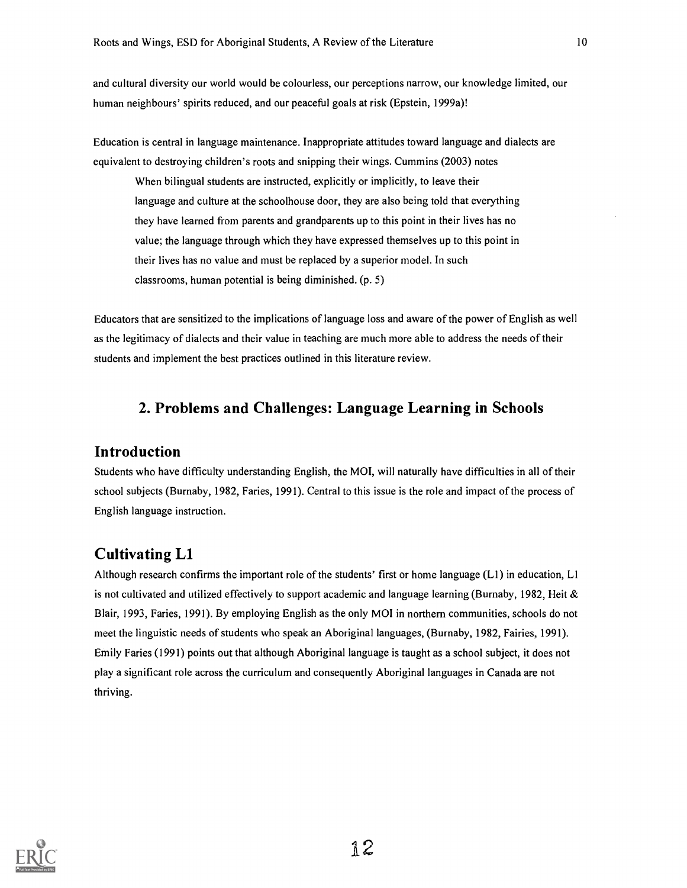and cultural diversity our world would be colourless, our perceptions narrow, our knowledge limited, our human neighbours' spirits reduced, and our peaceful goals at risk (Epstein, 1999a)!

Education is central in language maintenance. Inappropriate attitudes toward language and dialects are equivalent to destroying children's roots and snipping their wings. Cummins (2003) notes

When bilingual students are instructed, explicitly or implicitly, to leave their language and culture at the schoolhouse door, they are also being told that everything they have learned from parents and grandparents up to this point in their lives has no value; the language through which they have expressed themselves up to this point in their lives has no value and must be replaced by a superior model. In such classrooms, human potential is being diminished. (p. 5)

Educators that are sensitized to the implications of language loss and aware of the power of English as well as the legitimacy of dialects and their value in teaching are much more able to address the needs of their students and implement the best practices outlined in this literature review.

## 2. Problems and Challenges: Language Learning in Schools

## Introduction

Students who have difficulty understanding English, the MOI, will naturally have difficulties in all of their school subjects (Burnaby, 1982, Faries, 1991). Central to this issue is the role and impact of the process of English language instruction.

## Cultivating Ll

Although research confirms the important role of the students' first or home language (LI) in education, Ll is not cultivated and utilized effectively to support academic and language learning (Burnaby, 1982, Heit  $\&$ Blair, 1993, Faries, 1991). By employing English as the only MOI in northern communities, schools do not meet the linguistic needs of students who speak an Aboriginal languages, (Burnaby, 1982, Fairies, 1991). Emily Faries (1991) points out that although Aboriginal language is taught as a school subject, it does not play a significant role across the curriculum and consequently Aboriginal languages in Canada are not thriving.

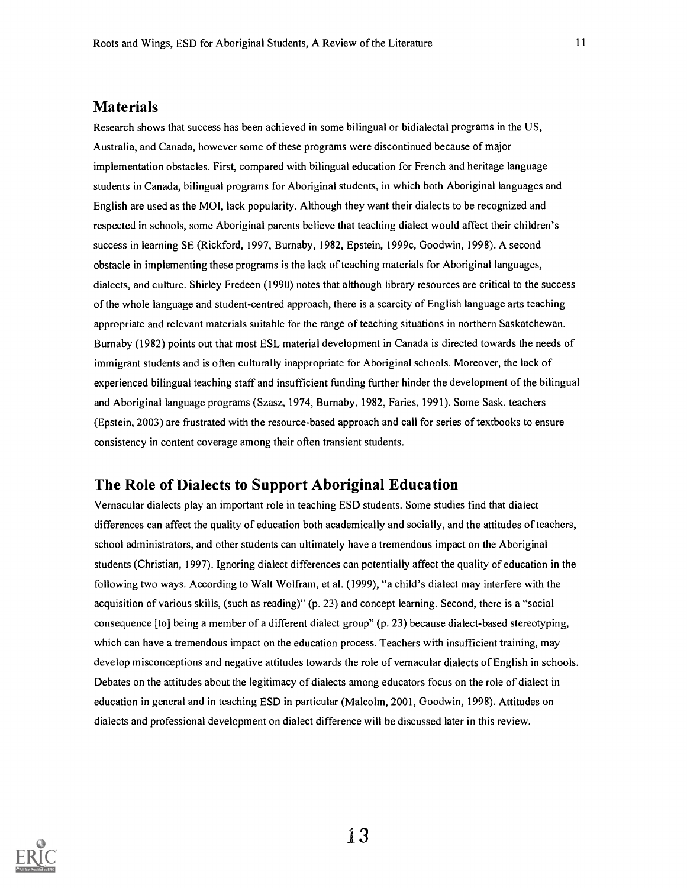### Materials

Research shows that success has been achieved in some bilingual or bidialectal programs in the US, Australia, and Canada, however some of these programs were discontinued because of major implementation obstacles. First, compared with bilingual education for French and heritage language students in Canada, bilingual programs for Aboriginal students, in which both Aboriginal languages and English are used as the MOI, lack popularity. Although they want their dialects to be recognized and respected in schools, some Aboriginal parents believe that teaching dialect would affect their children's success in learning SE (Rickford, 1997, Burnaby, 1982, Epstein, 1999c, Goodwin, 1998). A second obstacle in implementing these programs is the lack of teaching materials for Aboriginal languages, dialects, and culture. Shirley Fredeen (1990) notes that although library resources are critical to the success of the whole language and student-centred approach, there is a scarcity of English language arts teaching appropriate and relevant materials suitable for the range of teaching situations in northern Saskatchewan. Burnaby (1982) points out that most ESL material development in Canada is directed towards the needs of immigrant students and is often culturally inappropriate for Aboriginal schools. Moreover, the lack of experienced bilingual teaching staff and insufficient funding further hinder the development of the bilingual and Aboriginal language programs (Szasz, 1974, Burnaby, 1982, Faries, 1991). Some Sask. teachers (Epstein, 2003) are frustrated with the resource-based approach and call for series of textbooks to ensure consistency in content coverage among their often transient students.

### The Role of Dialects to Support Aboriginal Education

Vernacular dialects play an important role in teaching ESD students. Some studies find that dialect differences can affect the quality of education both academically and socially, and the attitudes of teachers, school administrators, and other students can ultimately have a tremendous impact on the Aboriginal students (Christian, 1997). Ignoring dialect differences can potentially affect the quality of education in the following two ways. According to Walt Wolfram, et al. (1999), "a child's dialect may interfere with the acquisition of various skills, (such as reading)" (p. 23) and concept learning. Second, there is a "social consequence [to] being a member of a different dialect group" (p. 23) because dialect-based stereotyping, which can have a tremendous impact on the education process. Teachers with insufficient training, may develop misconceptions and negative attitudes towards the role of vernacular dialects of English in schools. Debates on the attitudes about the legitimacy of dialects among educators focus on the role of dialect in education in general and in teaching ESD in particular (Malcolm, 2001, Goodwin, 1998). Attitudes on dialects and professional development on dialect difference will be discussed later in this review.

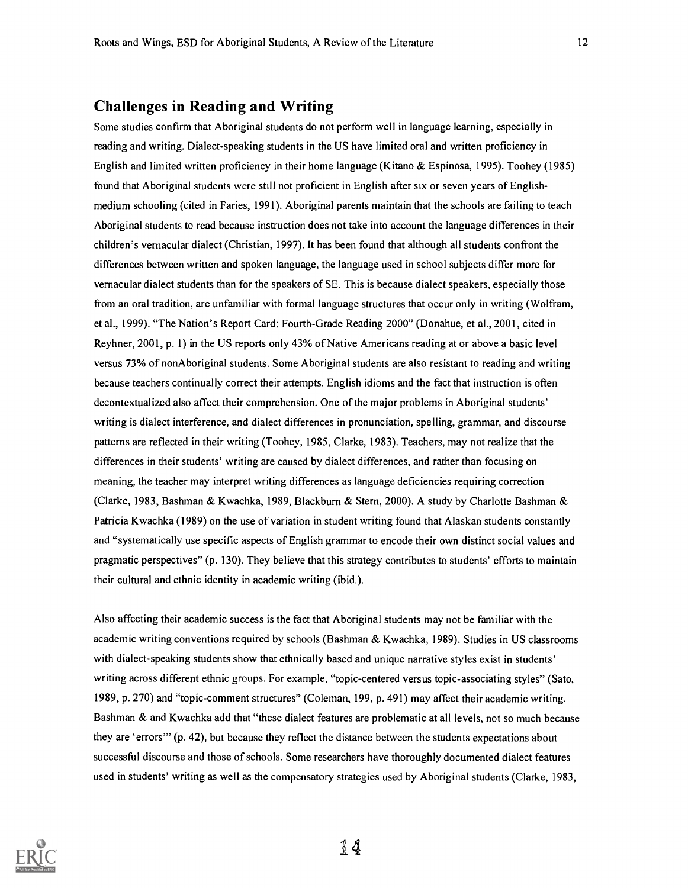## Challenges in Reading and Writing

Some studies confirm that Aboriginal students do not perform well in language learning, especially in reading and writing. Dialect-speaking students in the US have limited oral and written proficiency in English and limited written proficiency in their home language (Kitano & Espinosa, 1995). Toohey (1985) found that Aboriginal students were still not proficient in English after six or seven years of Englishmedium schooling (cited in Faries, 1991). Aboriginal parents maintain that the schools are failing to teach Aboriginal students to read because instruction does not take into account the language differences in their children's vernacular dialect (Christian, 1997). It has been found that although all students confront the differences between written and spoken language, the language used in school subjects differ more for vernacular dialect students than for the speakers of SE. This is because dialect speakers, especially those from an oral tradition, are unfamiliar with formal language structures that occur only in writing (Wolfram, et al., 1999). "The Nation's Report Card: Fourth-Grade Reading 2000" (Donahue, et al., 2001, cited in Reyhner, 2001, p. 1) in the US reports only 43% of Native Americans reading at or above a basic level versus 73% of nonAboriginal students. Some Aboriginal students are also resistant to reading and writing because teachers continually correct their attempts. English idioms and the fact that instruction is often decontextualized also affect their comprehension. One of the major problems in Aboriginal students' writing is dialect interference, and dialect differences in pronunciation, spelling, grammar, and discourse patterns are reflected in their writing (Toohey, 1985, Clarke, 1983). Teachers, may not realize that the differences in their students' writing are caused by dialect differences, and rather than focusing on meaning, the teacher may interpret writing differences as language deficiencies requiring correction (Clarke, 1983, Bashman & Kwachka, 1989, Blackburn & Stern, 2000). A study by Charlotte Bashman & Patricia Kwachka (1989) on the use of variation in student writing found that Alaskan students constantly and "systematically use specific aspects of English grammar to encode their own distinct social values and pragmatic perspectives" (p. 130). They believe that this strategy contributes to students' efforts to maintain their cultural and ethnic identity in academic writing (ibid.).

Also affecting their academic success is the fact that Aboriginal students may not be familiar with the academic writing conventions required by schools (Bashman & Kwachka, 1989). Studies in US classrooms with dialect-speaking students show that ethnically based and unique narrative styles exist in students' writing across different ethnic groups. For example, "topic-centered versus topic-associating styles" (Sato, 1989, p. 270) and "topic-comment structures" (Coleman, 199, p. 491) may affect their academic writing. Bashman & and Kwachka add that "these dialect features are problematic at all levels, not so much because they are 'errors'" (p. 42), but because they reflect the distance between the students expectations about successful discourse and those of schools. Some researchers have thoroughly documented dialect features used in students' writing as well as the compensatory strategies used by Aboriginal students (Clarke, 1983,

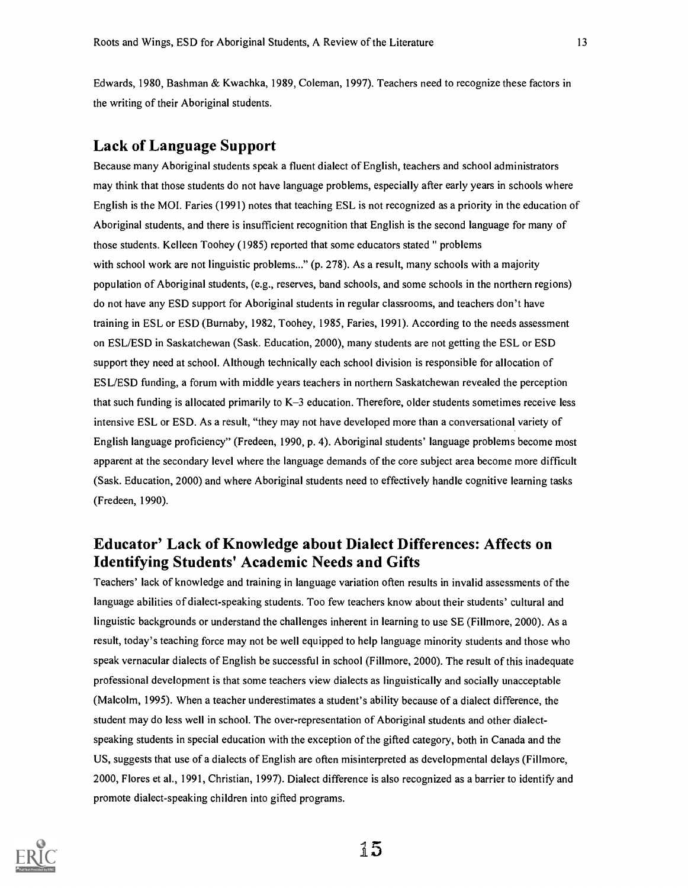Edwards, 1980, Bashman & Kwachka, 1989, Coleman, 1997). Teachers need to recognize these factors in the writing of their Aboriginal students.

## Lack of Language Support

Because many Aboriginal students speak a fluent dialect of English, teachers and school administrators may think that those students do not have language problems, especially after early years in schools where English is the MOI. Faries (1991) notes that teaching ESL is not recognized as a priority in the education of Aboriginal students, and there is insufficient recognition that English is the second language for many of those students. Kelleen Toohey (1985) reported that some educators stated " problems with school work are not linguistic problems..." (p. 278). As a result, many schools with a majority population of Aboriginal students, (e.g., reserves, band schools, and some schools in the northern regions) do not have any ESD support for Aboriginal students in regular classrooms, and teachers don't have training in ESL or ESD (Burnaby, 1982, Toohey, 1985, Faries, 1991). According to the needs assessment on ESL/ESD in Saskatchewan (Sask. Education, 2000), many students are not getting the ESL or ESD support they need at school. Although technically each school division is responsible for allocation of ESL/ESD funding, a forum with middle years teachers in northern Saskatchewan revealed the perception that such funding is allocated primarily to K-3 education. Therefore, older students sometimes receive less intensive ESL or ESD. As a result, "they may not have developed more than a conversational variety of English language proficiency" (Fredeen, 1990, p. 4). Aboriginal students' language problems become most apparent at the secondary level where the language demands of the core subject area become more difficult (Sask. Education, 2000) and where Aboriginal students need to effectively handle cognitive learning tasks (Fredeen, 1990).

## Educator' Lack of Knowledge about Dialect Differences: Affects on Identifying Students' Academic Needs and Gifts

Teachers' lack of knowledge and training in language variation often results in invalid assessments of the language abilities of dialect-speaking students. Too few teachers know about their students' cultural and linguistic backgrounds or understand the challenges inherent in learning to use SE (Fillmore, 2000). As a result, today's teaching force may not be well equipped to help language minority students and those who speak vernacular dialects of English be successful in school (Fillmore, 2000). The result of this inadequate professional development is that some teachers view dialects as linguistically and socially unacceptable (Malcolm, 1995). When a teacher underestimates a student's ability because of a dialect difference, the student may do less well in school. The over-representation of Aboriginal students and other dialectspeaking students in special education with the exception of the gifted category, both in Canada and the US, suggests that use of a dialects of English are often misinterpreted as developmental delays (Fillmore, 2000, Flores et al., 1991, Christian, 1997). Dialect difference is also recognized as a barrier to identify and promote dialect-speaking children into gifted programs.

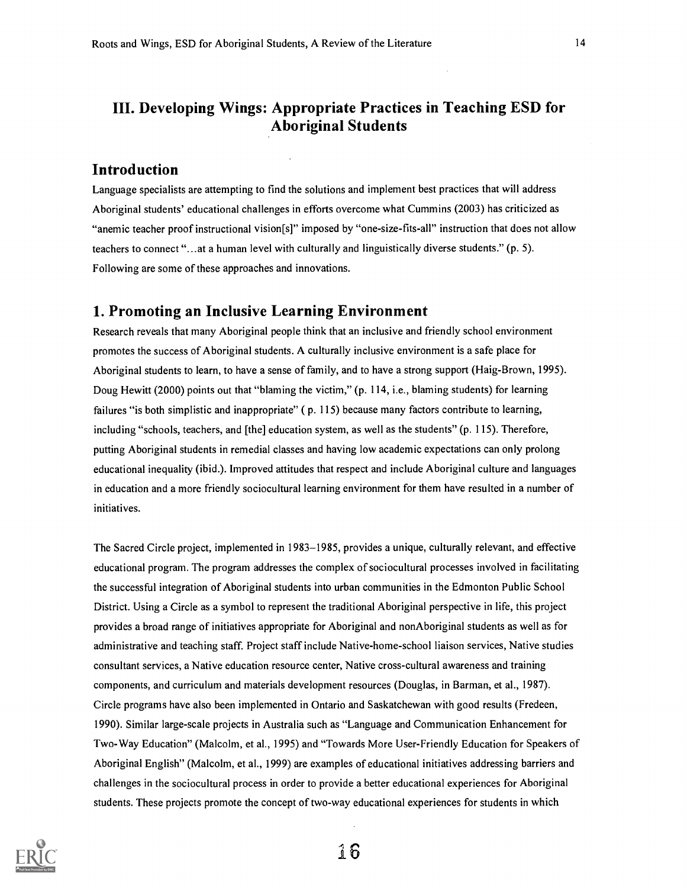## III. Developing Wings: Appropriate Practices in Teaching ESD for Aboriginal Students

## Introduction

Language specialists are attempting to find the solutions and implement best practices that will address Aboriginal students' educational challenges in efforts overcome what Cummins (2003) has criticized as "anemic teacher proof instructional vision[s]" imposed by "one-size-fits-all" instruction that does not allow teachers to connect "...at a human level with culturally and linguistically diverse students." (p. 5). Following are some of these approaches and innovations.

### 1. Promoting an Inclusive Learning Environment

Research reveals that many Aboriginal people think that an inclusive and friendly school environment promotes the success of Aboriginal students. A culturally inclusive environment is a safe place for Aboriginal students to learn, to have a sense of family, and to have a strong support (Haig-Brown, 1995). Doug Hewitt (2000) points out that "blaming the victim," (p. 114, i.e., blaming students) for learning failures "is both simplistic and inappropriate" ( p. 115) because many factors contribute to learning, including "schools, teachers, and [the] education system, as well as the students" (p. 115). Therefore, putting Aboriginal students in remedial classes and having low academic expectations can only prolong educational inequality (ibid.). Improved attitudes that respect and include Aboriginal culture and languages in education and a more friendly sociocultural learning environment for them have resulted in a number of initiatives.

The Sacred Circle project, implemented in 1983-1985, provides a unique, culturally relevant, and effective educational program. The program addresses the complex of sociocultural processes involved in facilitating the successful integration of Aboriginal students into urban communities in the Edmonton Public School District. Using a Circle as a symbol to represent the traditional Aboriginal perspective in life, this project provides a broad range of initiatives appropriate for Aboriginal and nonAboriginal students as well as for administrative and teaching staff. Project staff include Native-home-school liaison services, Native studies consultant services, a Native education resource center, Native cross-cultural awareness and training components, and curriculum and materials development resources (Douglas, in Barman, et al., 1987). Circle programs have also been implemented in Ontario and Saskatchewan with good results (Fredeen, 1990). Similar large-scale projects in Australia such as "Language and Communication Enhancement for Two-Way Education" (Malcolm, et al., 1995) and "Towards More User-Friendly Education for Speakers of Aboriginal English" (Malcolm, et al., 1999) are examples of educational initiatives addressing barriers and challenges in the sociocultural process in order to provide a better educational experiences for Aboriginal students. These projects promote the concept of two-way educational experiences for students in which

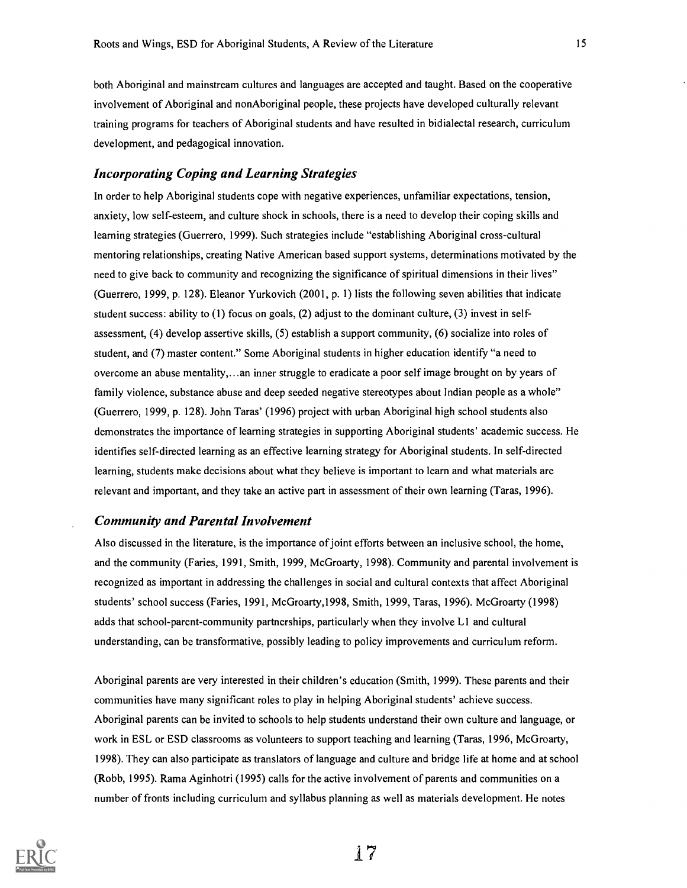both Aboriginal and mainstream cultures and languages are accepted and taught. Based on the cooperative involvement of Aboriginal and nonAboriginal people, these projects have developed culturally relevant training programs for teachers of Aboriginal students and have resulted in bidialectal research, curriculum development, and pedagogical innovation.

#### Incorporating Coping and Learning Strategies

In order to help Aboriginal students cope with negative experiences, unfamiliar expectations, tension, anxiety, low self-esteem, and culture shock in schools, there is a need to develop their coping skills and learning strategies (Guerrero, 1999). Such strategies include "establishing Aboriginal cross-cultural mentoring relationships, creating Native American based support systems, determinations motivated by the need to give back to community and recognizing the significance of spiritual dimensions in their lives" (Guerrero, 1999, p. 128). Eleanor Yurkovich (2001, p. 1) lists the following seven abilities that indicate student success: ability to (1) focus on goals, (2) adjust to the dominant culture, (3) invest in selfassessment, (4) develop assertive skills, (5) establish a support community, (6) socialize into roles of student, and (7) master content." Some Aboriginal students in higher education identify "a need to overcome an abuse mentality,... an inner struggle to eradicate a poor self image brought on by years of family violence, substance abuse and deep seeded negative stereotypes about Indian people as a whole" (Guerrero, 1999, p. 128). John Taras' (1996) project with urban Aboriginal high school students also demonstrates the importance of learning strategies in supporting Aboriginal students' academic success. He identifies self-directed learning as an effective learning strategy for Aboriginal students. In self-directed learning, students make decisions about what they believe is important to learn and what materials are relevant and important, and they take an active part in assessment of their own learning (Taras, 1996).

#### Community and Parental Involvement

Also discussed in the literature, is the importance of joint efforts between an inclusive school, the home, and the community (Faries, 1991, Smith, 1999, McGroarty, 1998). Community and parental involvement is recognized as important in addressing the challenges in social and cultural contexts that affect Aboriginal students' school success (Faries, 1991, McGroarty,1998, Smith, 1999, Taras, 1996). McGroarty (1998) adds that school-parent-community partnerships, particularly when they involve LI and cultural understanding, can be transformative, possibly leading to policy improvements and curriculum reform.

Aboriginal parents are very interested in their children's education (Smith, 1999). These parents and their communities have many significant roles to play in helping Aboriginal students' achieve success. Aboriginal parents can be invited to schools to help students understand their own culture and language, or work in ESL or ESD classrooms as volunteers to support teaching and learning (Taras, 1996, McGroarty, 1998). They can also participate as translators of language and culture and bridge life at home and at school (Robb, 1995). Rama Aginhotri (1995) calls for the active involvement of parents and communities on a number of fronts including curriculum and syllabus planning as well as materials development. He notes

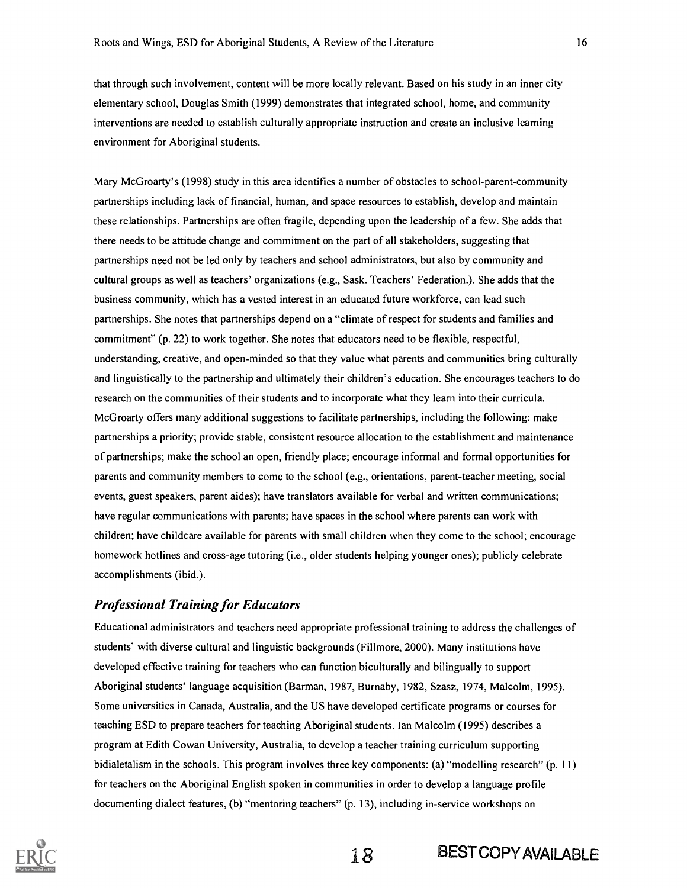that through such involvement, content will be more locally relevant. Based on his study in an inner city elementary school, Douglas Smith (1999) demonstrates that integrated school, home, and community interventions are needed to establish culturally appropriate instruction and create an inclusive learning environment for Aboriginal students.

Mary McGroarty's (1998) study in this area identifies a number of obstacles to school-parent-community partnerships including lack of financial, human, and space resources to establish, develop and maintain these relationships. Partnerships are often fragile, depending upon the leadership of a few. She adds that there needs to be attitude change and commitment on the part of all stakeholders, suggesting that partnerships need not be led only by teachers and school administrators, but also by community and cultural groups as well as teachers' organizations (e.g., Sask. Teachers' Federation.). She adds that the business community, which has a vested interest in an educated future workforce, can lead such partnerships. She notes that partnerships depend on a "climate of respect for students and families and commitment" (p. 22) to work together. She notes that educators need to be flexible, respectful, understanding, creative, and open-minded so that they value what parents and communities bring culturally and linguistically to the partnership and ultimately their children's education. She encourages teachers to do research on the communities of their students and to incorporate what they learn into their curricula. McGroarty offers many additional suggestions to facilitate partnerships, including the following: make partnerships a priority; provide stable, consistent resource allocation to the establishment and maintenance of partnerships; make the school an open, friendly place; encourage informal and formal opportunities for parents and community members to come to the school (e.g., orientations, parent-teacher meeting, social events, guest speakers, parent aides); have translators available for verbal and written communications; have regular communications with parents; have spaces in the school where parents can work with children; have childcare available for parents with small children when they come to the school; encourage homework hotlines and cross-age tutoring (i.e., older students helping younger ones); publicly celebrate accomplishments (ibid.).

#### Professional Training for Educators

Educational administrators and teachers need appropriate professional training to address the challenges of students' with diverse cultural and linguistic backgrounds (Fillmore, 2000). Many institutions have developed effective training for teachers who can function biculturally and bilingually to support Aboriginal students' language acquisition (Barman, 1987, Burnaby, 1982, Szasz, 1974, Malcolm, 1995). Some universities in Canada, Australia, and the US have developed certificate programs or courses for teaching ESD to prepare teachers for teaching Aboriginal students. Ian Malcolm (1995) describes a program at Edith Cowan University, Australia, to develop a teacher training curriculum supporting bidialetalism in the schools. This program involves three key components: (a) "modelling research" (p. 11) for teachers on the Aboriginal English spoken in communities in order to develop a language profile documenting dialect features, (b) "mentoring teachers" (p. 13), including in-service workshops on

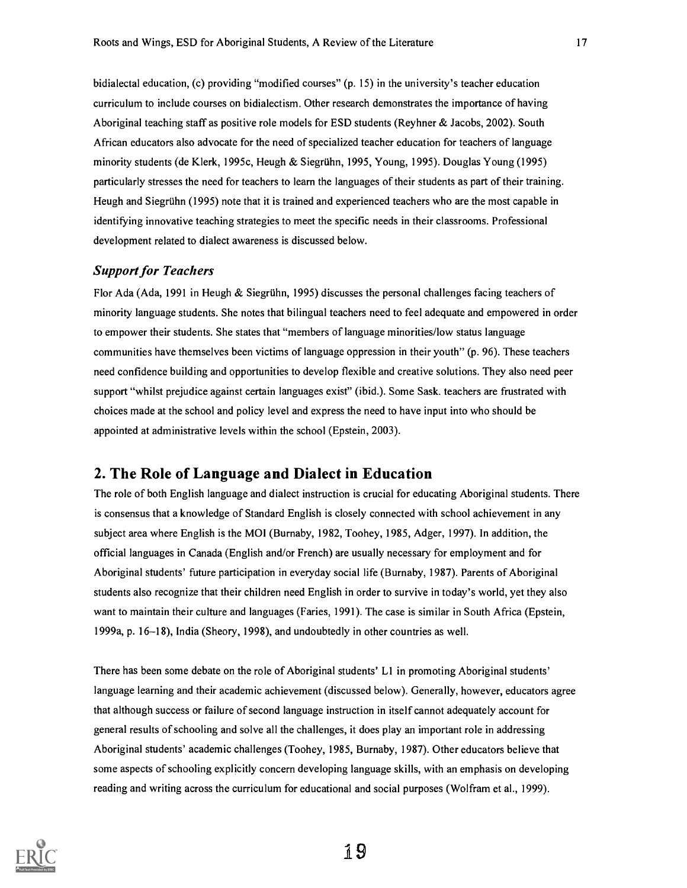bidialectal education, (c) providing "modified courses" (p. 15) in the university's teacher education curriculum to include courses on bidialectism. Other research demonstrates the importance of having Aboriginal teaching staff as positive role models for ESD students (Reyhner & Jacobs, 2002). South African educators also advocate for the need of specialized teacher education for teachers of language minority students (de Klerk, 1995c, Heugh & Siegruhn, 1995, Young, 1995). Douglas Young (1995) particularly stresses the need for teachers to learn the languages of their students as part of their training. Heugh and Siegruhn (1995) note that it is trained and experienced teachers who are the most capable in identifying innovative teaching strategies to meet the specific needs in their classrooms. Professional development related to dialect awareness is discussed below.

#### Support for Teachers

Flor Ada (Ada, 1991 in Heugh & Siegrühn, 1995) discusses the personal challenges facing teachers of minority language students. She notes that bilingual teachers need to feel adequate and empowered in order to empower their students. She states that "members of language minorities/low status language communities have themselves been victims of language oppression in their youth" (p. 96). These teachers need confidence building and opportunities to develop flexible and creative solutions. They also need peer support "whilst prejudice against certain languages exist" (ibid.). Some Sask. teachers are frustrated with choices made at the school and policy level and express the need to have input into who should be appointed at administrative levels within the school (Epstein, 2003).

## 2. The Role of Language and Dialect in Education

The role of both English language and dialect instruction is crucial for educating Aboriginal students. There is consensus that a knowledge of Standard English is closely connected with school achievement in any subject area where English is the MOI (Burnaby, 1982, Toohey, 1985, Adger, 1997). In addition, the official languages in Canada (English and/or French) are usually necessary for employment and for Aboriginal students' future participation in everyday social life (Burnaby, 1987). Parents of Aboriginal students also recognize that their children need English in order to survive in today's world, yet they also want to maintain their culture and languages (Faries, 1991). The case is similar in South Africa (Epstein, 1999a, p. 16-18), India (Sheory, 1998), and undoubtedly in other countries as well.

There has been some debate on the role of Aboriginal students' LI in promoting Aboriginal students' language learning and their academic achievement (discussed below). Generally, however, educators agree that although success or failure of second language instruction in itself cannot adequately account for general results of schooling and solve all the challenges, it does play an important role in addressing Aboriginal students' academic challenges (Toohey, 1985, Burnaby, 1987). Other educators believe that some aspects of schooling explicitly concern developing language skills, with an emphasis on developing reading and writing across the curriculum for educational and social purposes (Wolfram et al., 1999).

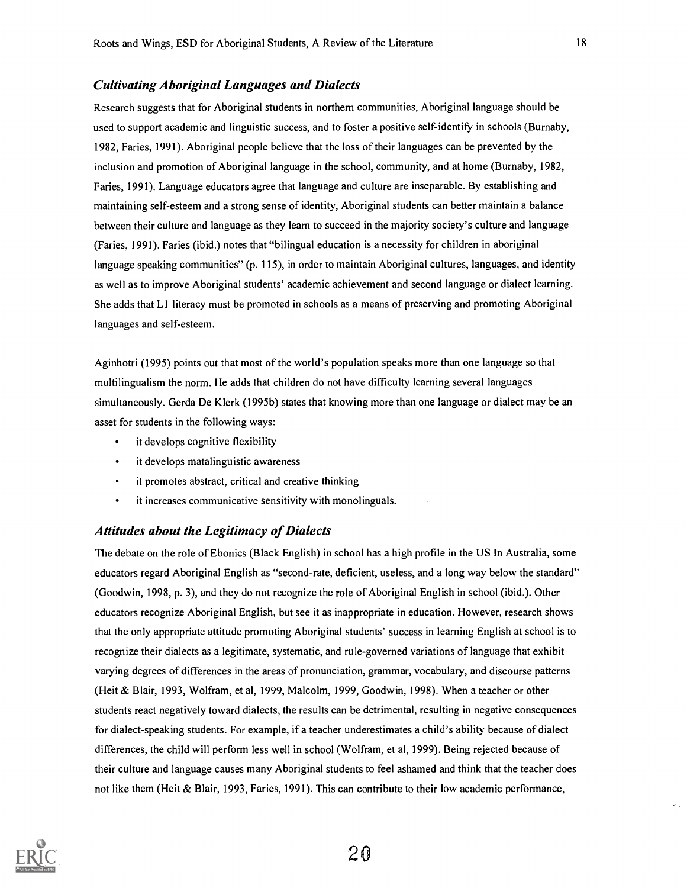#### Cultivating Aboriginal Languages and Dialects

Research suggests that for Aboriginal students in northern communities, Aboriginal language should be used to support academic and linguistic success, and to foster a positive self-identify in schools (Burnaby, 1982, Faries, 1991). Aboriginal people believe that the loss of their languages can be prevented by the inclusion and promotion of Aboriginal language in the school, community, and at home (Burnaby, 1982, Faries, 1991). Language educators agree that language and culture are inseparable. By establishing and maintaining self-esteem and a strong sense of identity, Aboriginal students can better maintain a balance between their culture and language as they learn to succeed in the majority society's culture and language (Faries, 1991). Faries (ibid.) notes that "bilingual education is a necessity for children in aboriginal language speaking communities" (p. 115), in order to maintain Aboriginal cultures, languages, and identity as well as to improve Aboriginal students' academic achievement and second language or dialect learning. She adds that LI literacy must be promoted in schools as a means of preserving and promoting Aboriginal languages and self-esteem.

Aginhotri (1995) points out that most of the world's population speaks more than one language so that multilingualism the norm. He adds that children do not have difficulty learning several languages simultaneously. Gerda De Klerk (1995b) states that knowing more than one language or dialect may be an asset for students in the following ways:

- it develops cognitive flexibility  $\bullet$
- $\bullet$ it develops matalinguistic awareness
- it promotes abstract, critical and creative thinking  $\bullet$
- it increases communicative sensitivity with monolinguals.  $\bullet$

#### Attitudes about the Legitimacy of Dialects

The debate on the role of Ebonics (Black English) in school has a high profile in the US In Australia, some educators regard Aboriginal English as "second-rate, deficient, useless, and a long way below the standard" (Goodwin, 1998, p. 3), and they do not recognize the role of Aboriginal English in school (ibid.). Other educators recognize Aboriginal English, but see it as inappropriate in education. However, research shows that the only appropriate attitude promoting Aboriginal students' success in learning English at school is to recognize their dialects as a legitimate, systematic, and rule-governed variations of language that exhibit varying degrees of differences in the areas of pronunciation, grammar, vocabulary, and discourse patterns (Heit & Blair, 1993, Wolfram, et al, 1999, Malcolm, 1999, Goodwin, 1998). When a teacher or other students react negatively toward dialects, the results can be detrimental, resulting in negative consequences for dialect-speaking students. For example, if a teacher underestimates a child's ability because of dialect differences, the child will perform less well in school (Wolfram, et al, 1999). Being rejected because of their culture and language causes many Aboriginal students to feel ashamed and think that the teacher does not like them (Heit & Blair, 1993, Faries, 1991). This can contribute to their low academic performance,

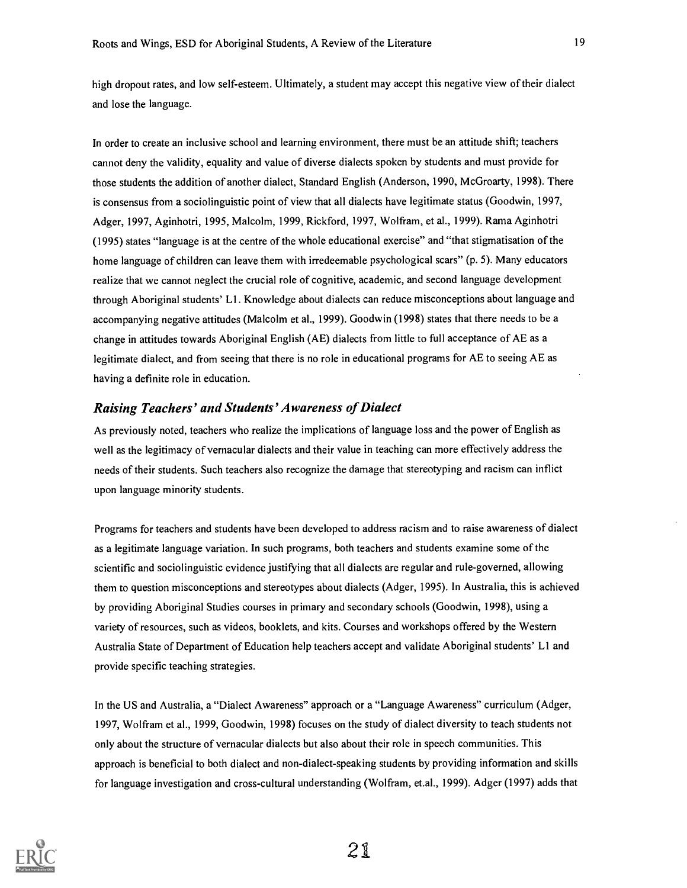high dropout rates, and low self-esteem. Ultimately, a student may accept this negative view of their dialect and lose the language.

In order to create an inclusive school and learning environment, there must be an attitude shift; teachers cannot deny the validity, equality and value of diverse dialects spoken by students and must provide for those students the addition of another dialect, Standard English (Anderson, 1990, McGroarty, 1998). There is consensus from a sociolinguistic point of view that all dialects have legitimate status (Goodwin, 1997, Adger, 1997, Aginhotri, 1995, Malcolm, 1999, Rickford, 1997, Wolfram, et al., 1999). Rama Aginhotri (1995) states "language is at the centre of the whole educational exercise" and "that stigmatisation of the home language of children can leave them with irredeemable psychological scars" (p. 5). Many educators realize that we cannot neglect the crucial role of cognitive, academic, and second language development through Aboriginal students' Ll. Knowledge about dialects can reduce misconceptions about language and accompanying negative attitudes (Malcolm et al., 1999). Goodwin (1998) states that there needs to be a change in attitudes towards Aboriginal English (AE) dialects from little to full acceptance of AE as a legitimate dialect, and from seeing that there is no role in educational programs for AE to seeing AE as having a definite role in education.

#### Raising Teachers' and Students' Awareness of Dialect

As previously noted, teachers who realize the implications of language loss and the power of English as well as the legitimacy of vernacular dialects and their value in teaching can more effectively address the needs of their students. Such teachers also recognize the damage that stereotyping and racism can inflict upon language minority students.

Programs for teachers and students have been developed to address racism and to raise awareness of dialect as a legitimate language variation. In such programs, both teachers and students examine some of the scientific and sociolinguistic evidence justifying that all dialects are regular and rule-governed, allowing them to question misconceptions and stereotypes about dialects (Adger, 1995). In Australia, this is achieved by providing Aboriginal Studies courses in primary and secondary schools (Goodwin, 1998), using a variety of resources, such as videos, booklets, and kits. Courses and workshops offered by the Western Australia State of Department of Education help teachers accept and validate Aboriginal students' Ll and provide specific teaching strategies.

In the US and Australia, a "Dialect Awareness" approach or a "Language Awareness" curriculum (Adger, 1997, Wolfram et al., 1999, Goodwin, 1998) focuses on the study of dialect diversity to teach students not only about the structure of vernacular dialects but also about their role in speech communities. This approach is beneficial to both dialect and non-dialect-speaking students by providing information and skills for language investigation and cross-cultural understanding (Wolfram, et.al., 1999). Adger (1997) adds that

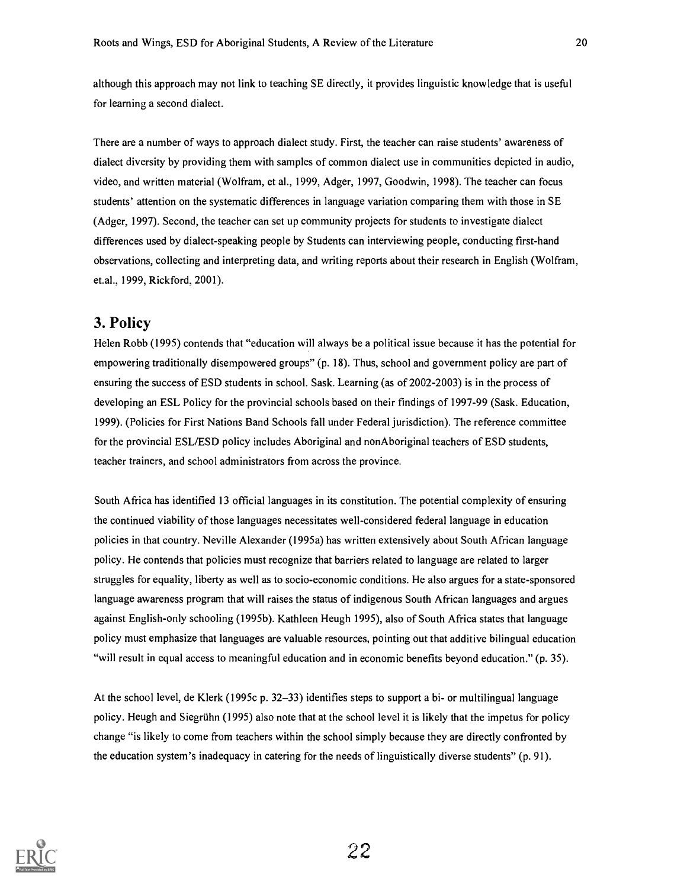although this approach may not link to teaching SE directly, it provides linguistic knowledge that is useful for learning a second dialect.

There are a number of ways to approach dialect study. First, the teacher can raise students' awareness of dialect diversity by providing them with samples of common dialect use in communities depicted in audio, video, and written material (Wolfram, et al., 1999, Adger, 1997, Goodwin, 1998). The teacher can focus students' attention on the systematic differences in language variation comparing them with those in SE (Adger, 1997). Second, the teacher can set up community projects for students to investigate dialect differences used by dialect-speaking people by Students can interviewing people, conducting first-hand observations, collecting and interpreting data, and writing reports about their research in English (Wolfram, et.al., 1999, Rickford, 2001).

## 3. Policy

Helen Robb (1995) contends that "education will always be a political issue because it has the potential for empowering traditionally disempowered groups" (p. 18). Thus, school and government policy are part of ensuring the success of ESD students in school. Sask. Learning (as of 2002-2003) is in the process of developing an ESL Policy for the provincial schools based on their findings of 1997-99 (Sask. Education, 1999). (Policies for First Nations Band Schools fall under Federal jurisdiction). The reference committee for the provincial ESL/ESD policy includes Aboriginal and nonAboriginal teachers of ESD students, teacher trainers, and school administrators from across the province.

South Africa has identified 13 official languages in its constitution. The potential complexity of ensuring the continued viability of those languages necessitates well-considered federal language in education policies in that country. Neville Alexander (1995a) has written extensively about South African language policy. He contends that policies must recognize that barriers related to language are related to larger struggles for equality, liberty as well as to socio-economic conditions. He also argues for a state-sponsored language awareness program that will raises the status of indigenous South African languages and argues against English-only schooling (1995b). Kathleen Heugh 1995), also of South Africa states that language policy must emphasize that languages are valuable resources, pointing out that additive bilingual education "will result in equal access to meaningful education and in economic benefits beyond education." (p. 35).

At the school level, de Klerk (1995c p. 32-33) identifies steps to support a bi- or multilingual language policy. Heugh and Siegruhn (1995) also note that at the school level it is likely that the impetus for policy change "is likely to come from teachers within the school simply because they are directly confronted by the education system's inadequacy in catering for the needs of linguistically diverse students" (p. 91).

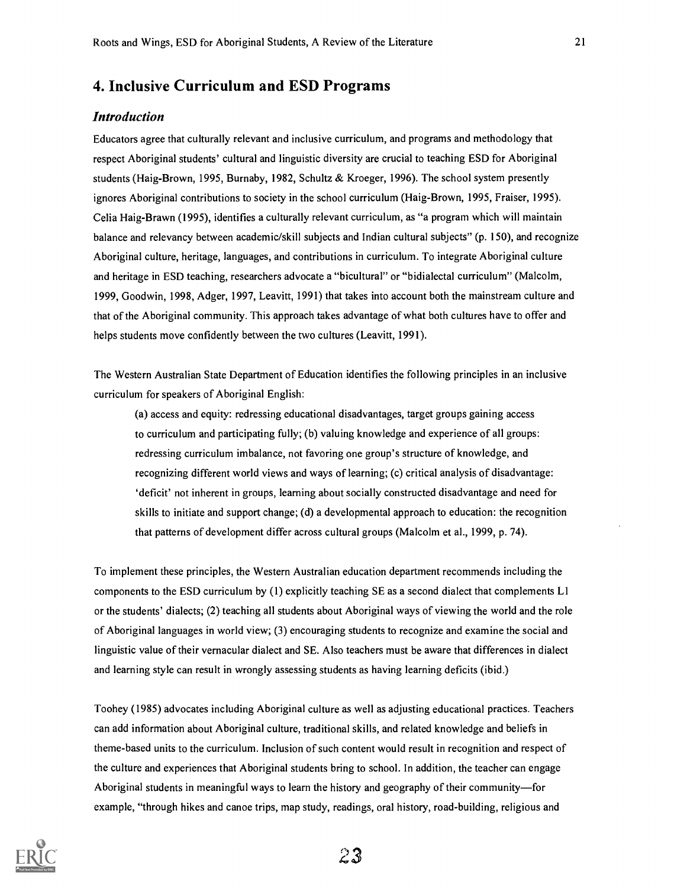## 4. Inclusive Curriculum and ESD Programs

#### Introduction

Educators agree that culturally relevant and inclusive curriculum, and programs and methodology that respect Aboriginal students' cultural and linguistic diversity are crucial to teaching ESD for Aboriginal students (Haig-Brown, 1995, Burnaby, 1982, Schultz & Kroeger, 1996). The school system presently ignores Aboriginal contributions to society in the school curriculum (Haig-Brown, 1995, Fraiser, 1995). Celia Haig-Brawn (1995), identifies a culturally relevant curriculum, as "a program which will maintain balance and relevancy between academic/skill subjects and Indian cultural subjects" (p. 150), and recognize Aboriginal culture, heritage, languages, and contributions in curriculum. To integrate Aboriginal culture and heritage in ESD teaching, researchers advocate a "bicultural" or "bidialectal curriculum" (Malcolm, 1999, Goodwin, 1998, Adger, 1997, Leavitt, 1991) that takes into account both the mainstream culture and that of the Aboriginal community. This approach takes advantage of what both cultures have to offer and helps students move confidently between the two cultures (Leavitt, 1991).

The Western Australian State Department of Education identifies the following principles in an inclusive curriculum for speakers of Aboriginal English:

(a) access and equity: redressing educational disadvantages, target groups gaining access to curriculum and participating fully; (b) valuing knowledge and experience of all groups: redressing curriculum imbalance, not favoring one group's structure of knowledge, and recognizing different world views and ways of learning; (c) critical analysis of disadvantage: `deficit' not inherent in groups, learning about socially constructed disadvantage and need for skills to initiate and support change; (d) a developmental approach to education: the recognition that patterns of development differ across cultural groups (Malcolm et al., 1999, p. 74).

To implement these principles, the Western Australian education department recommends including the components to the ESD curriculum by (1) explicitly teaching SE as a second dialect that complements Ll or the students' dialects; (2) teaching all students about Aboriginal ways of viewing the world and the role of Aboriginal languages in world view; (3) encouraging students to recognize and examine the social and linguistic value of their vernacular dialect and SE. Also teachers must be aware that differences in dialect and learning style can result in wrongly assessing students as having learning deficits (ibid.)

Toohey (1985) advocates including Aboriginal culture as well as adjusting educational practices. Teachers can add information about Aboriginal culture, traditional skills, and related knowledge and beliefs in theme-based units to the curriculum. Inclusion of such content would result in recognition and respect of the culture and experiences that Aboriginal students bring to school. In addition, the teacher can engage Aboriginal students in meaningful ways to learn the history and geography of their community—for example, "through hikes and canoe trips, map study, readings, oral history, road-building, religious and

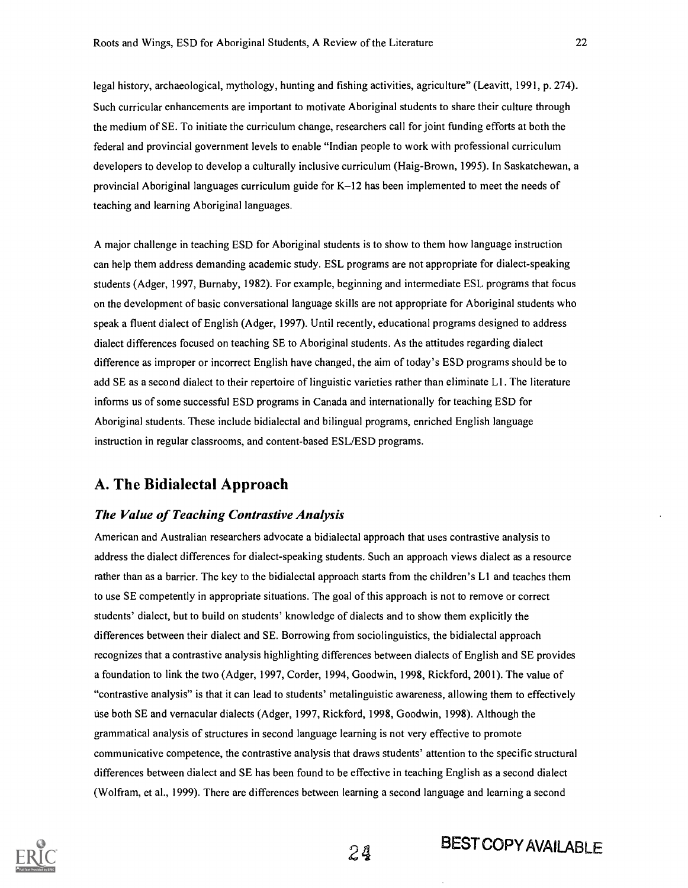legal history, archaeological, mythology, hunting and fishing activities, agriculture" (Leavitt, 1991, p. 274). Such curricular enhancements are important to motivate Aboriginal students to share their culture through the medium of SE. To initiate the curriculum change, researchers call for joint funding efforts at both the federal and provincial government levels to enable "Indian people to work with professional curriculum developers to develop to develop a culturally inclusive curriculum (Haig-Brown, 1995). In Saskatchewan, a provincial Aboriginal languages curriculum guide for K-12 has been implemented to meet the needs of teaching and learning Aboriginal languages.

A major challenge in teaching ESD for Aboriginal students is to show to them how language instruction can help them address demanding academic study. ESL programs are not appropriate for dialect-speaking students (Adger, 1997, Burnaby, 1982). For example, beginning and intermediate ESL programs that focus on the development of basic conversational language skills are not appropriate for Aboriginal students who speak a fluent dialect of English (Adger, 1997). Until recently, educational programs designed to address dialect differences focused on teaching SE to Aboriginal students. As the attitudes regarding dialect difference as improper or incorrect English have changed, the aim of today's ESD programs should be to add SE as a second dialect to their repertoire of linguistic varieties rather than eliminate LI. The literature informs us of some successful ESD programs in Canada and internationally for teaching ESD for Aboriginal students. These include bidialectal and bilingual programs, enriched English language instruction in regular classrooms, and content-based ESL/ESD programs.

## A. The Bidialectal Approach

#### The Value of Teaching Contrastive Analysis

American and Australian researchers advocate a bidialectal approach that uses contrastive analysis to address the dialect differences for dialect-speaking students. Such an approach views dialect as a resource rather than as a barrier. The key to the bidialectal approach starts from the children's LI and teaches them to use SE competently in appropriate situations. The goal of this approach is not to remove or correct students' dialect, but to build on students' knowledge of dialects and to show them explicitly the differences between their dialect and SE. Borrowing from sociolinguistics, the bidialectal approach recognizes that a contrastive analysis highlighting differences between dialects of English and SE provides a foundation to link the two (Adger, 1997, Corder, 1994, Goodwin, 1998, Rickford, 2001). The value of "contrastive analysis" is that it can lead to students' metalinguistic awareness, allowing them to effectively use both SE and vernacular dialects (Adger, 1997, Rickford, 1998, Goodwin, 1998). Although the grammatical analysis of structures in second language learning is not very effective to promote communicative competence, the contrastive analysis that draws students' attention to the specific structural differences between dialect and SE has been found to be effective in teaching English as a second dialect (Wolfram, et al., 1999). There are differences between learning a second language and learning a second

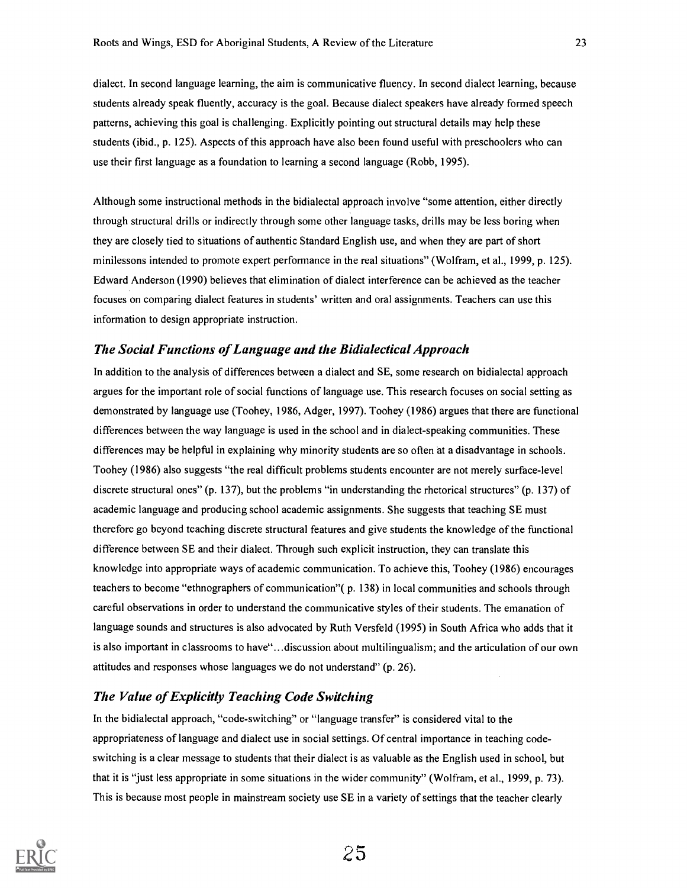dialect. In second language learning, the aim is communicative fluency. In second dialect learning, because students already speak fluently, accuracy is the goal. Because dialect speakers have already formed speech patterns, achieving this goal is challenging. Explicitly pointing out structural details may help these students (ibid., p. 125). Aspects of this approach have also been found useful with preschoolers who can use their first language as a foundation to learning a second language (Robb, 1995).

Although some instructional methods in the bidialectal approach involve "some attention, either directly through structural drills or indirectly through some other language tasks, drills may be less boring when they are closely tied to situations of authentic Standard English use, and when they are part of short minilessons intended to promote expert performance in the real situations" (Wolfram, et al., 1999, p. 125). Edward Anderson (1990) believes that elimination of dialect interference can be achieved as the teacher focuses on comparing dialect features in students' written and oral assignments. Teachers can use this information to design appropriate instruction.

#### The Social Functions of Language and the Bidialectical Approach

In addition to the analysis of differences between a dialect and SE, some research on bidialectal approach argues for the important role of social functions of language use. This research focuses on social setting as demonstrated by language use (Toohey, 1986, Adger, 1997). Toohey (1986) argues that there are functional differences between the way language is used in the school and in dialect-speaking communities. These differences may be helpful in explaining why minority students are so often at a disadvantage in schools. Toohey (1986) also suggests "the real difficult problems students encounter are not merely surface-level discrete structural ones" (p. 137), but the problems "in understanding the rhetorical structures" (p. 137) of academic language and producing school academic assignments. She suggests that teaching SE must therefore go beyond teaching discrete structural features and give students the knowledge of the functional difference between SE and their dialect. Through such explicit instruction, they can translate this knowledge into appropriate ways of academic communication. To achieve this, Toohey (1986) encourages teachers to become "ethnographers of communication"( p. 138) in local communities and schools through careful observations in order to understand the communicative styles of their students. The emanation of language sounds and structures is also advocated by Ruth Versfeld (1995) in South Africa who adds that it is also important in classrooms to have"...discussion about multilingualism; and the articulation of our own attitudes and responses whose languages we do not understand" (p. 26).

#### The Value of Explicitly Teaching Code Switching

In the bidialectal approach, "code-switching" or "language transfer" is considered vital to the appropriateness of language and dialect use in social settings. Of central importance in teaching codeswitching is a clear message to students that their dialect is as valuable as the English used in school, but that it is "just less appropriate in some situations in the wider community" (Wolfram, et al., 1999, p. 73). This is because most people in mainstream society use SE in a variety of settings that the teacher clearly

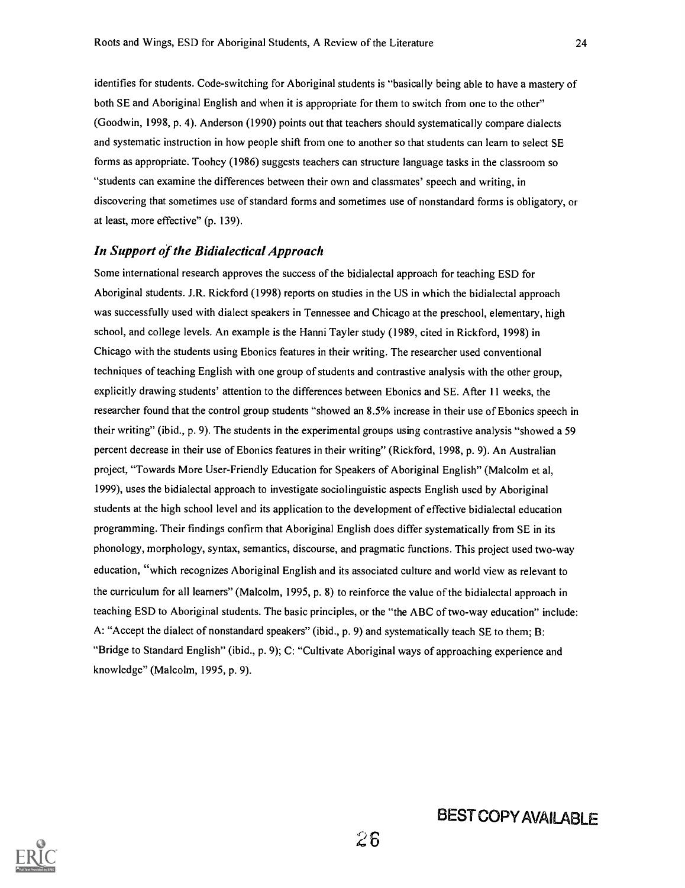identifies for students. Code-switching for Aboriginal students is "basically being able to have a mastery of both SE and Aboriginal English and when it is appropriate for them to switch from one to the other" (Goodwin, 1998, p. 4). Anderson (1990) points out that teachers should systematically compare dialects and systematic instruction in how people shift from one to another so that students can learn to select SE forms as appropriate. Toohey (1986) suggests teachers can structure language tasks in the classroom so "students can examine the differences between their own and classmates' speech and writing, in discovering that sometimes use of standard forms and sometimes use of nonstandard forms is obligatory, or at least, more effective" (p. 139).

#### In Support of the Bidialectical Approach

Some international research approves the success of the bidialectal approach for teaching ESD for Aboriginal students. J.R. Rickford (1998) reports on studies in the US in which the bidialectal approach was successfully used with dialect speakers in Tennessee and Chicago at the preschool, elementary, high school, and college levels. An example is the Hanni Tayler study (1989, cited in Rickford, 1998) in Chicago with the students using Ebonics features in their writing. The researcher used conventional techniques of teaching English with one group of students and contrastive analysis with the other group, explicitly drawing students' attention to the differences between Ebonics and SE. After 11 weeks, the researcher found that the control group students "showed an 8.5% increase in their use of Ebonics speech in their writing" (ibid., p. 9). The students in the experimental groups using contrastive analysis "showed a 59 percent decrease in their use of Ebonics features in their writing" (Rickford, 1998, p. 9). An Australian project, "Towards More User-Friendly Education for Speakers of Aboriginal English" (Malcolm et al, 1999), uses the bidialectal approach to investigate sociolinguistic aspects English used by Aboriginal students at the high school level and its application to the development of effective bidialectal education programming. Their findings confirm that Aboriginal English does differ systematically from SE in its phonology, morphology, syntax, semantics, discourse, and pragmatic functions. This project used two-way education, "which recognizes Aboriginal English and its associated culture and world view as relevant to the curriculum for all learners" (Malcolm, 1995, p. 8) to reinforce the value of the bidialectal approach in teaching ESD to Aboriginal students. The basic principles, or the "the ABC of two-way education" include: A: "Accept the dialect of nonstandard speakers" (ibid., p. 9) and systematically teach SE to them; B: "Bridge to Standard English" (ibid., p. 9); C: "Cultivate Aboriginal ways of approaching experience and knowledge" (Malcolm, 1995, p. 9).

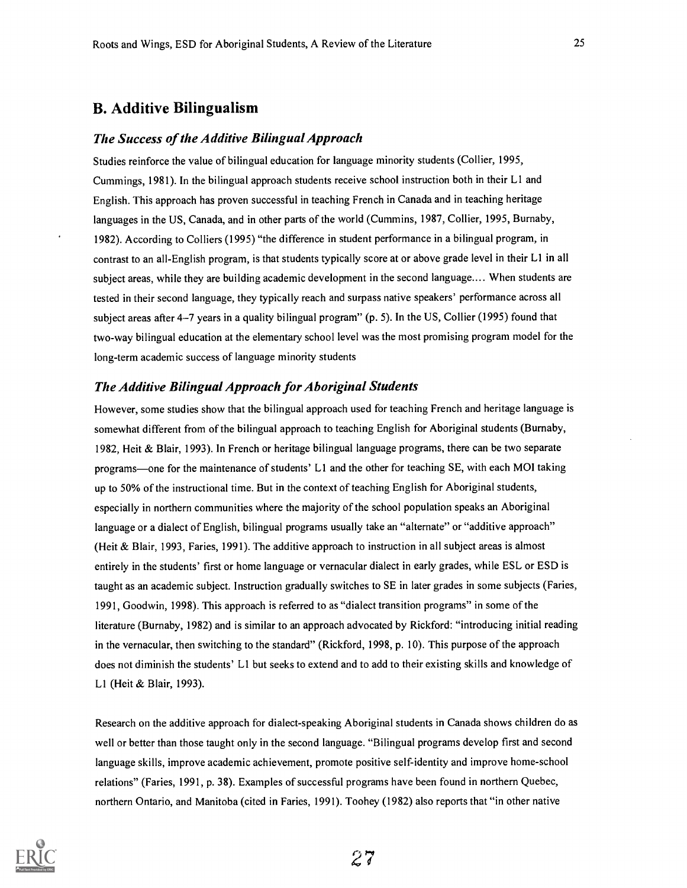### B. Additive Bilingualism

#### The Success of the Additive Bilingual Approach

Studies reinforce the value of bilingual education for language minority students (Collier, 1995, Cummings, 1981). In the bilingual approach students receive school instruction both in their LI and English. This approach has proven successful in teaching French in Canada and in teaching heritage languages in the US, Canada, and in other parts of the world (Cummins, 1987, Collier, 1995, Burnaby, 1982). According to Colliers (1995) "the difference in student performance in a bilingual program, in contrast to an all-English program, is that students typically score at or above grade level in their LI in all subject areas, while they are building academic development in the second language.... When students are tested in their second language, they typically reach and surpass native speakers' performance across all subject areas after 4-7 years in a quality bilingual program" (p. 5). In the US, Collier (1995) found that two-way bilingual education at the elementary school level was the most promising program model for the long-term academic success of language minority students

#### The Additive Bilingual Approach for Aboriginal Students

However, some studies show that the bilingual approach used for teaching French and heritage language is somewhat different from of the bilingual approach to teaching English for Aboriginal students (Burnaby, 1982, Heit & Blair, 1993). In French or heritage bilingual language programs, there can be two separate programs—one for the maintenance of students' L1 and the other for teaching SE, with each MOI taking up to 50% of the instructional time. But in the context of teaching English for Aboriginal students, especially in northern communities where the majority of the school population speaks an Aboriginal language or a dialect of English, bilingual programs usually take an "alternate" or "additive approach" (Heit & Blair, 1993, Faries, 1991). The additive approach to instruction in all subject areas is almost entirely in the students' first or home language or vernacular dialect in early grades, while ESL or ESD is taught as an academic subject. Instruction gradually switches to SE in later grades in some subjects (Faries, 1991, Goodwin, 1998). This approach is referred to as "dialect transition programs" in some of the literature (Burnaby, 1982) and is similar to an approach advocated by Rickford: "introducing initial reading in the vernacular, then switching to the standard" (Rickford, 1998, p. 10). This purpose of the approach does not diminish the students' LI but seeks to extend and to add to their existing skills and knowledge of LI (Heit & Blair, 1993).

Research on the additive approach for dialect-speaking Aboriginal students in Canada shows children do as well or better than those taught only in the second language. "Bilingual programs develop first and second language skills, improve academic achievement, promote positive self-identity and improve home-school relations" (Faries, 1991, p. 38). Examples of successful programs have been found in northern Quebec, northern Ontario, and Manitoba (cited in Faries, 1991). Toohey (1982) also reports that "in other native

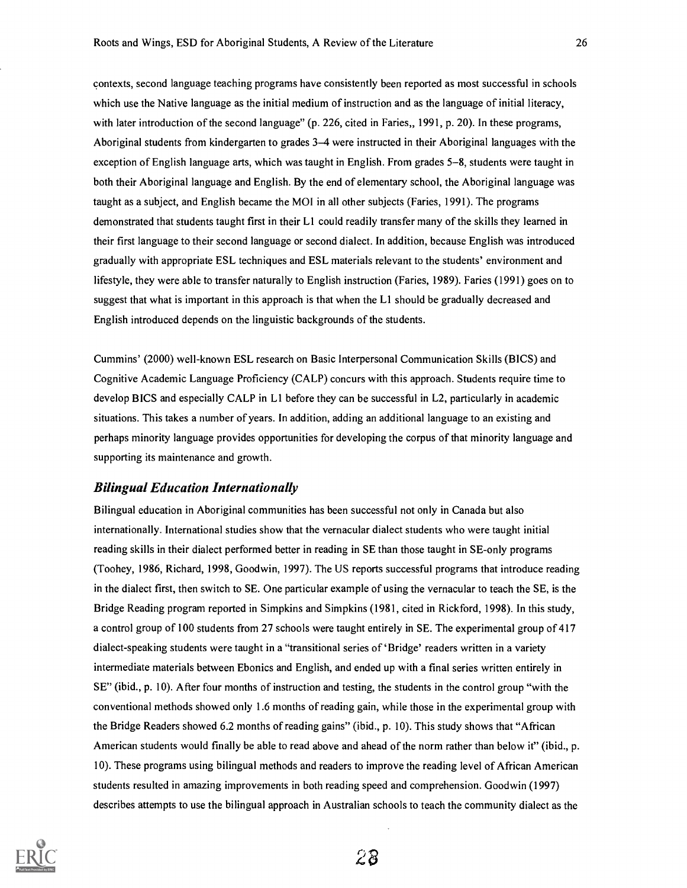contexts, second language teaching programs have consistently been reported as most successful in schools which use the Native language as the initial medium of instruction and as the language of initial literacy, with later introduction of the second language" (p. 226, cited in Faries,  $1991$ , p. 20). In these programs, Aboriginal students from kindergarten to grades 3-4 were instructed in their Aboriginal languages with the exception of English language arts, which was taught in English. From grades 5-8, students were taught in both their Aboriginal language and English. By the end of elementary school, the Aboriginal language was taught as a subject, and English became the MOI in all other subjects (Faries, 1991). The programs demonstrated that students taught first in their Ll could readily transfer many of the skills they learned in their first language to their second language or second dialect. In addition, because English was introduced gradually with appropriate ESL techniques and ESL materials relevant to the students' environment and lifestyle, they were able to transfer naturally to English instruction (Faries, 1989). Faries (1991) goes on to suggest that what is important in this approach is that when the LI should be gradually decreased and English introduced depends on the linguistic backgrounds of the students.

Cummins' (2000) well-known ESL research on Basic Interpersonal Communication Skills (BICS) and Cognitive Academic Language Proficiency (CALP) concurs with this approach. Students require time to develop BICS and especially CALP in LI before they can be successful in L2, particularly in academic situations. This takes a number of years. In addition, adding an additional language to an existing and perhaps minority language provides opportunities for developing the corpus of that minority language and supporting its maintenance and growth.

#### Bilingual Education Internationally

Bilingual education in Aboriginal communities has been successful not only in Canada but also internationally. International studies show that the vernacular dialect students who were taught initial reading skills in their dialect performed better in reading in SE than those taught in SE-only programs (Toohey, 1986, Richard, 1998, Goodwin, 1997). The US reports successful programs that introduce reading in the dialect first, then switch to SE. One particular example of using the vernacular to teach the SE, is the Bridge Reading program reported in Simpkins and Simpkins (1981, cited in Rickford, 1998). In this study, a control group of 100 students from 27 schools were taught entirely in SE. The experimental group of 417 dialect-speaking students were taught in a "transitional series of 'Bridge' readers written in a variety intermediate materials between Ebonics and English, and ended up with a final series written entirely in SE" (ibid., p. 10). After four months of instruction and testing, the students in the control group "with the conventional methods showed only 1.6 months of reading gain, while those in the experimental group with the Bridge Readers showed 6.2 months of reading gains" (ibid., p. 10). This study shows that "African American students would finally be able to read above and ahead of the norm rather than below it" (ibid., p. 10). These programs using bilingual methods and readers to improve the reading level of African American students resulted in amazing improvements in both reading speed and comprehension. Goodwin (1997) describes attempts to use the bilingual approach in Australian schools to teach the community dialect as the

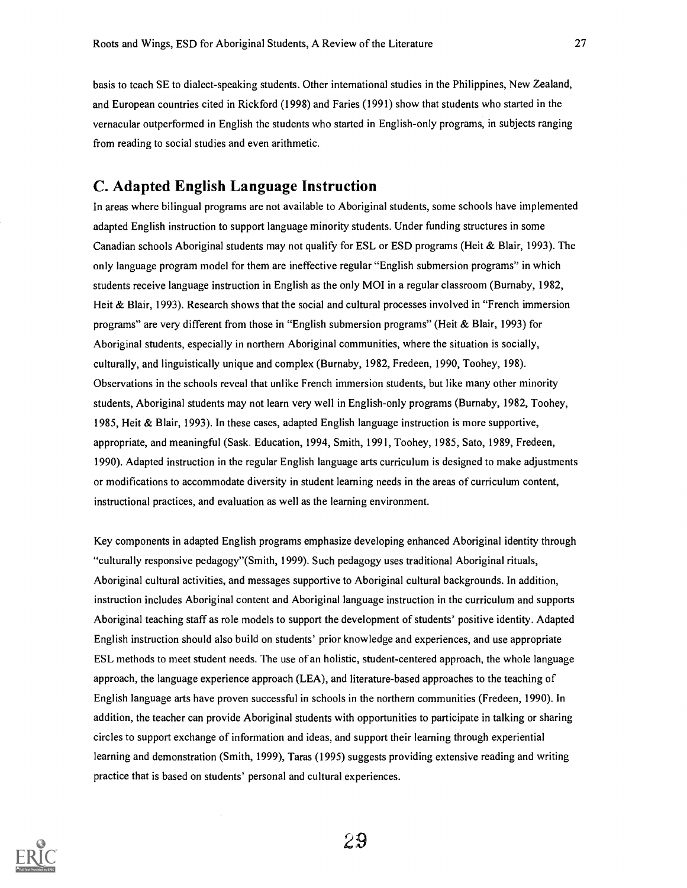basis to teach SE to dialect-speaking students. Other international studies in the Philippines, New Zealand, and European countries cited in Rickford (1998) and Faries (1991) show that students who started in the vernacular outperformed in English the students who started in English-only programs, in subjects ranging from reading to social studies and even arithmetic.

## C. Adapted English Language Instruction

In areas where bilingual programs are not available to Aboriginal students, some schools have implemented adapted English instruction to support language minority students. Under funding structures in some Canadian schools Aboriginal students may not qualify for ESL or ESD programs (Heit & Blair, 1993). The only language program model for them are ineffective regular "English submersion programs" in which students receive language instruction in English as the only MOI in a regular classroom (Burnaby, 1982, Heit & Blair, 1993). Research shows that the social and cultural processes involved in "French immersion programs" are very different from those in "English submersion programs" (Heit & Blair, 1993) for Aboriginal students, especially in northern Aboriginal communities, where the situation is socially, culturally, and linguistically unique and complex (Burnaby, 1982, Fredeen, 1990, Toohey, 198). Observations in the schools reveal that unlike French immersion students, but like many other minority students, Aboriginal students may not learn very well in English-only programs (Burnaby, 1982, Toohey, 1985, Heit & Blair, 1993). In these cases, adapted English language instruction is more supportive, appropriate, and meaningful (Sask. Education, 1994, Smith, 1991, Toohey, 1985, Sato, 1989, Fredeen, 1990). Adapted instruction in the regular English language arts curriculum is designed to make adjustments or modifications to accommodate diversity in student learning needs in the areas of curriculum content, instructional practices, and evaluation as well as the learning environment.

Key components in adapted English programs emphasize developing enhanced Aboriginal identity through "culturally responsive pedagogy"(Smith, 1999). Such pedagogy uses traditional Aboriginal rituals, Aboriginal cultural activities, and messages supportive to Aboriginal cultural backgrounds. In addition, instruction includes Aboriginal content and Aboriginal language instruction in the curriculum and supports Aboriginal teaching staff as role models to support the development of students' positive identity. Adapted English instruction should also build on students' prior knowledge and experiences, and use appropriate ESL methods to meet student needs. The use of an holistic, student-centered approach, the whole language approach, the language experience approach (LEA), and literature-based approaches to the teaching of English language arts have proven successful in schools in the northern communities (Fredeen, 1990). In addition, the teacher can provide Aboriginal students with opportunities to participate in talking or sharing circles to support exchange of information and ideas, and support their learning through experiential learning and demonstration (Smith, 1999), Taras (1995) suggests providing extensive reading and writing practice that is based on students' personal and cultural experiences.

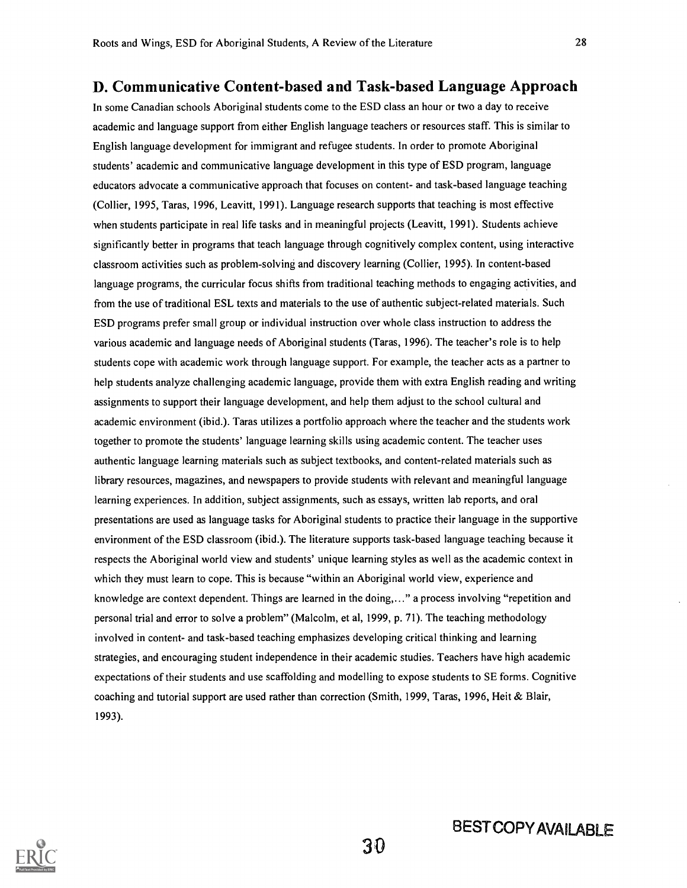## D. Communicative Content-based and Task-based Language Approach

In some Canadian schools Aboriginal students come to the ESD class an hour or two a day to receive academic and language support from either English language teachers or resources staff. This is similar to English language development for immigrant and refugee students. In order to promote Aboriginal students' academic and communicative language development in this type of ESD program, language educators advocate a communicative approach that focuses on content- and task-based language teaching (Collier, 1995, Taras, 1996, Leavitt, 1991). Language research supports that teaching is most effective when students participate in real life tasks and in meaningful projects (Leavitt, 1991). Students achieve significantly better in programs that teach language through cognitively complex content, using interactive classroom activities such as problem-solving and discovery learning (Collier, 1995). In content-based language programs, the curricular focus shifts from traditional teaching methods to engaging activities, and from the use of traditional ESL texts and materials to the use of authentic subject-related materials. Such ESD programs prefer small group or individual instruction over whole class instruction to address the various academic and language needs of Aboriginal students (Taras, 1996). The teacher's role is to help students cope with academic work through language support. For example, the teacher acts as a partner to help students analyze challenging academic language, provide them with extra English reading and writing assignments to support their language development, and help them adjust to the school cultural and academic environment (ibid.). Taras utilizes a portfolio approach where the teacher and the students work together to promote the students' language learning skills using academic content. The teacher uses authentic language learning materials such as subject textbooks, and content-related materials such as library resources, magazines, and newspapers to provide students with relevant and meaningful language learning experiences. In addition, subject assignments, such as essays, written lab reports, and oral presentations are used as language tasks for Aboriginal students to practice their language in the supportive environment of the ESD classroom (ibid.). The literature supports task-based language teaching because it respects the Aboriginal world view and students' unique learning styles as well as the academic context in which they must learn to cope. This is because "within an Aboriginal world view, experience and knowledge are context dependent. Things are learned in the doing,..." a process involving "repetition and personal trial and error to solve a problem" (Malcolm, et al, 1999, p. 71). The teaching methodology involved in content- and task-based teaching emphasizes developing critical thinking and learning strategies, and encouraging student independence in their academic studies. Teachers have high academic expectations of their students and use scaffolding and modelling to expose students to SE forms. Cognitive coaching and tutorial support are used rather than correction (Smith, 1999, Taras, 1996, Heit & Blair, 1993).

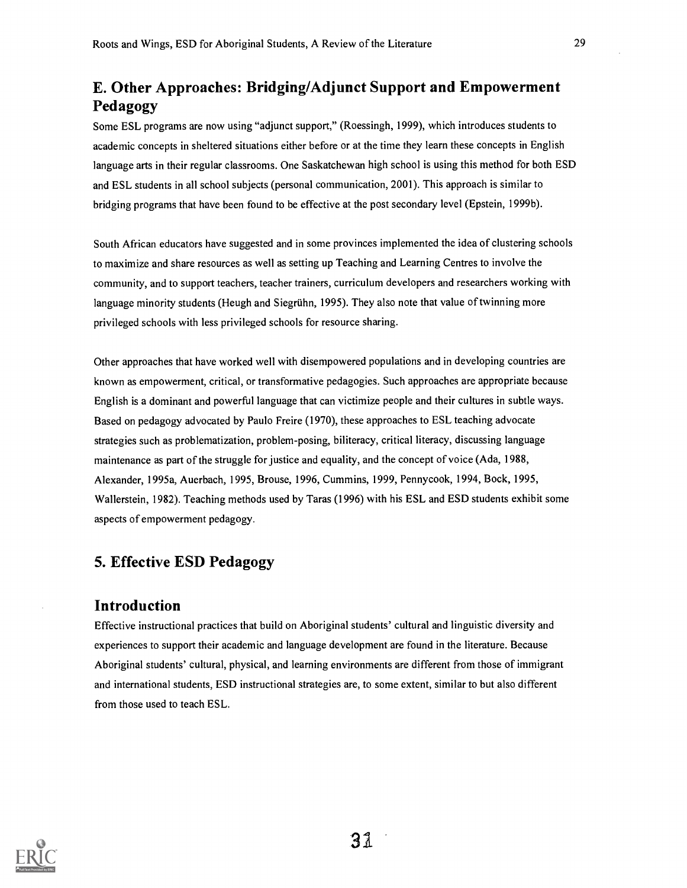## E. Other Approaches: Bridging/Adjunct Support and Empowerment Pedagogy

Some ESL programs are now using "adjunct support," (Roessingh, 1999), which introduces students to academic concepts in sheltered situations either before or at the time they learn these concepts in English language arts in their regular classrooms. One Saskatchewan high school is using this method for both ESD and ESL students in all school subjects (personal communication, 2001). This approach is similar to bridging programs that have been found to be effective at the post secondary level (Epstein, 1999b).

South African educators have suggested and in some provinces implemented the idea of clustering schools to maximize and share resources as well as setting up Teaching and Learning Centres to involve the community, and to support teachers, teacher trainers, curriculum developers and researchers working with language minority students (Heugh and Siegriihn, 1995). They also note that value of twinning more privileged schools with less privileged schools for resource sharing.

Other approaches that have worked well with disempowered populations and in developing countries are known as empowerment, critical, or transformative pedagogies. Such approaches are appropriate because English is a dominant and powerful language that can victimize people and their cultures in subtle ways. Based on pedagogy advocated by Paulo Freire (1970), these approaches to ESL teaching advocate strategies such as problematization, problem-posing, biliteracy, critical literacy, discussing language maintenance as part of the struggle for justice and equality, and the concept of voice (Ada, 1988, Alexander, 1995a, Auerbach, 1995, Brouse, 1996, Cummins, 1999, Pennycook, 1994, Bock, 1995, Wallerstein, 1982). Teaching methods used by Taras (1996) with his ESL and ESD students exhibit some aspects of empowerment pedagogy.

## 5. Effective ESD Pedagogy

## Introduction

Effective instructional practices that build on Aboriginal students' cultural and linguistic diversity and experiences to support their academic and language development are found in the literature. Because Aboriginal students' cultural, physical, and learning environments are different from those of immigrant and international students, ESD instructional strategies are, to some extent, similar to but also different from those used to teach ESL.

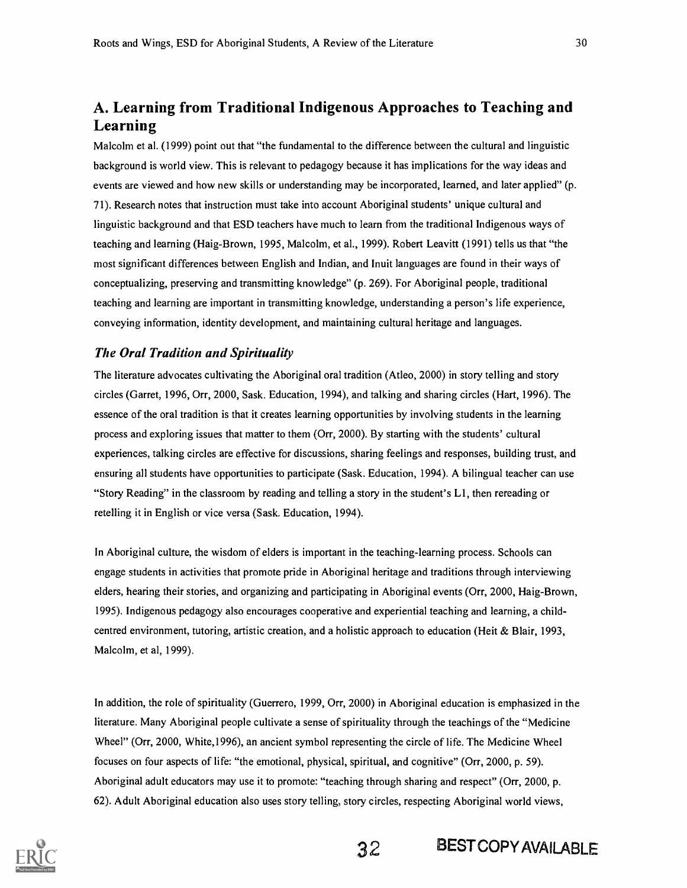## A. Learning from Traditional Indigenous Approaches to Teaching and Learning

Malcolm et al. (1999) point out that "the fundamental to the difference between the cultural and linguistic background is world view. This is relevant to pedagogy because it has implications for the way ideas and events are viewed and how new skills or understanding may be incorporated, learned, and later applied" (p. 71). Research notes that instruction must take into account Aboriginal students' unique cultural and linguistic background and that ESD teachers have much to learn from the traditional Indigenous ways of teaching and learning (Haig-Brown, 1995, Malcolm, et al., 1999). Robert Leavitt (1991) tells us that "the most significant differences between English and Indian, and Inuit languages are found in their ways of conceptualizing, preserving and transmitting knowledge" (p. 269). For Aboriginal people, traditional teaching and learning are important in transmitting knowledge, understanding a person's life experience, conveying information, identity development, and maintaining cultural heritage and languages.

#### The Oral Tradition and Spirituality

The literature advocates cultivating the Aboriginal oral tradition (Atleo, 2000) in story telling and story circles (Garret, 1996, Orr, 2000, Sask. Education, 1994), and talking and sharing circles (Hart, 1996). The essence of the oral tradition is that it creates learning opportunities by involving students in the learning process and exploring issues that matter to them (Orr, 2000). By starting with the students' cultural experiences, talking circles are effective for discussions, sharing feelings and responses, building trust, and ensuring all students have opportunities to participate (Sask. Education, 1994). A bilingual teacher can use "Story Reading" in the classroom by reading and telling a story in the student's LI, then rereading or retelling it in English or vice versa (Sask. Education, 1994).

In Aboriginal culture, the wisdom of elders is important in the teaching-learning process. Schools can engage students in activities that promote pride in Aboriginal heritage and traditions through interviewing elders, hearing their stories, and organizing and participating in Aboriginal events (Orr, 2000, Haig-Brown, 1995). Indigenous pedagogy also encourages cooperative and experiential teaching and learning, a childcentred environment, tutoring, artistic creation, and a holistic approach to education (Heit & Blair, 1993, Malcolm, et al, 1999).

In addition, the role of spirituality (Guerrero, 1999, Orr, 2000) in Aboriginal education is emphasized in the literature. Many Aboriginal people cultivate a sense of spirituality through the teachings of the "Medicine Wheel" (Orr, 2000, White,1996), an ancient symbol representing the circle of life. The Medicine Wheel focuses on four aspects of life: "the emotional, physical, spiritual, and cognitive" (Orr, 2000, p. 59). Aboriginal adult educators may use it to promote: "teaching through sharing and respect" (Orr, 2000, p. 62). Adult Aboriginal education also uses story telling, story circles, respecting Aboriginal world views,



32 BEST COPY AVAILABLE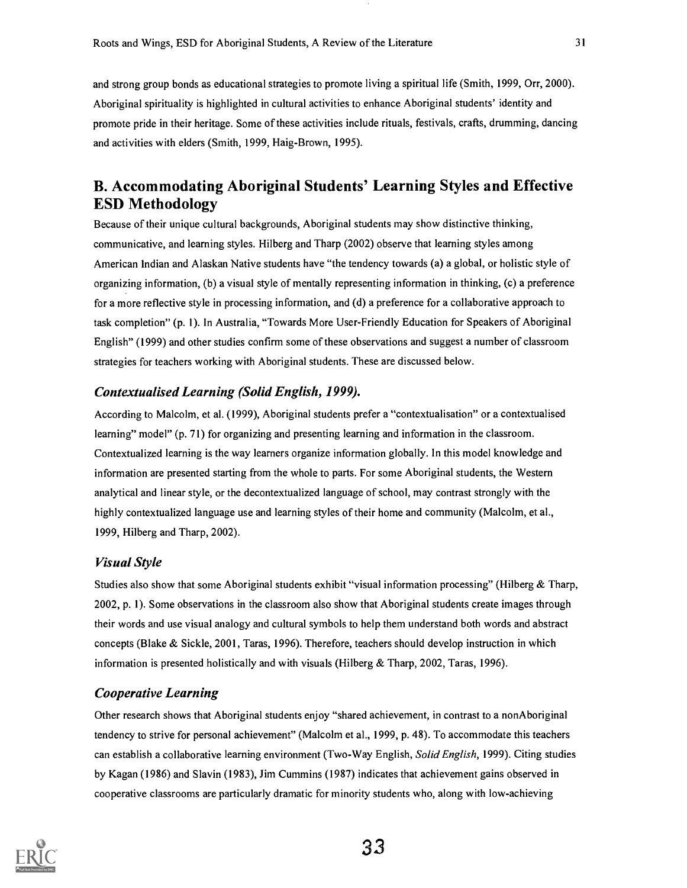and strong group bonds as educational strategies to promote living a spiritual life (Smith, 1999, Orr, 2000). Aboriginal spirituality is highlighted in cultural activities to enhance Aboriginal students' identity and promote pride in their heritage. Some of these activities include rituals, festivals, crafts, drumming, dancing and activities with elders (Smith, 1999, Haig-Brown, 1995).

## B. Accommodating Aboriginal Students' Learning Styles and Effective ESD Methodology

Because of their unique cultural backgrounds, Aboriginal students may show distinctive thinking, communicative, and learning styles. Hilberg and Tharp (2002) observe that learning styles among American Indian and Alaskan Native students have "the tendency towards (a) a global, or holistic style of organizing information, (b) a visual style of mentally representing information in thinking, (c) a preference for a more reflective style in processing information, and (d) a preference for a collaborative approach to task completion" (p. 1). In Australia, "Towards More User-Friendly Education for Speakers of Aboriginal English" (1999) and other studies confirm some of these observations and suggest a number of classroom strategies for teachers working with Aboriginal students. These are discussed below.

### Contextualised Learning (Solid English, 1999).

According to Malcolm, et al. (1999), Aboriginal students prefer a "contextualisation" or a contextualised learning" model" (p. 71) for organizing and presenting learning and information in the classroom. Contextualized learning is the way learners organize information globally. In this model knowledge and information are presented starting from the whole to parts. For some Aboriginal students, the Western analytical and linear style, or the decontextualized language of school, may contrast strongly with the highly contextualized language use and learning styles of their home and community (Malcolm, et al., 1999, Hilberg and Tharp, 2002).

#### Visual Style

Studies also show that some Aboriginal students exhibit "visual information processing" (Hilberg & Tharp, 2002, p. 1). Some observations in the classroom also show that Aboriginal students create images through their words and use visual analogy and cultural symbols to help them understand both words and abstract concepts (Blake & Sickle, 2001, Taras, 1996). Therefore, teachers should develop instruction in which information is presented holistically and with visuals (Hilberg & Tharp, 2002, Taras, 1996).

#### Cooperative Learning

Other research shows that Aboriginal students enjoy "shared achievement, in contrast to a nonAboriginal tendency to strive for personal achievement" (Malcolm et al., 1999, p. 48). To accommodate this teachers can establish a collaborative learning environment (Two-Way English, Solid English, 1999). Citing studies by Kagan (1986) and Slavin (1983), Jim Cummins (1987) indicates that achievement gains observed in cooperative classrooms are particularly dramatic for minority students who, along with low-achieving

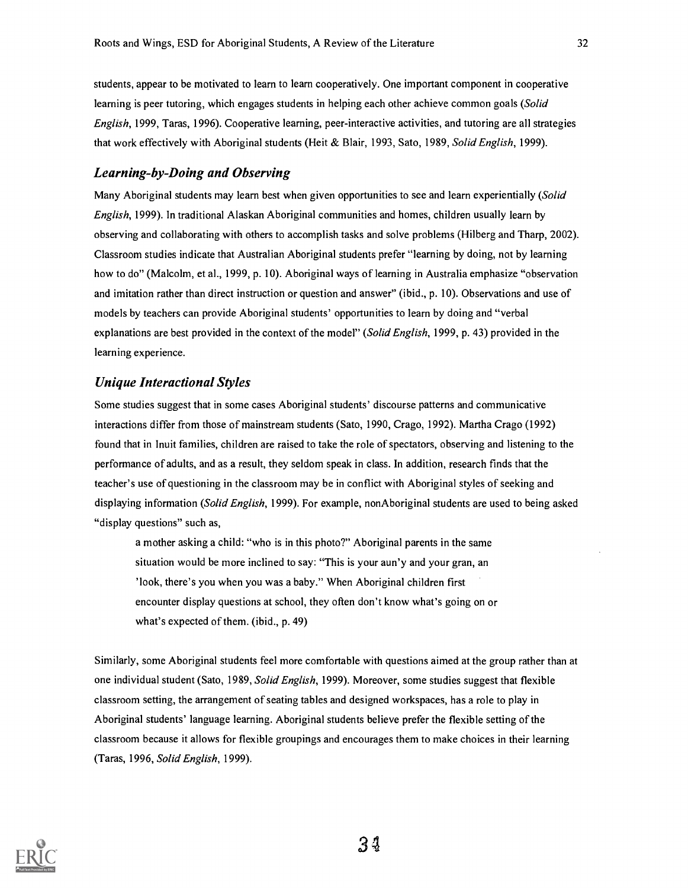students, appear to be motivated to learn to learn cooperatively. One important component in cooperative learning is peer tutoring, which engages students in helping each other achieve common goals (Solid English, 1999, Taras, 1996). Cooperative learning, peer-interactive activities, and tutoring are all strategies that work effectively with Aboriginal students (Heit & Blair, 1993, Sato, 1989, Solid English, 1999).

#### Learning-by-Doing and Observing

Many Aboriginal students may learn best when given opportunities to see and learn experientially (Solid English, 1999). In traditional Alaskan Aboriginal communities and homes, children usually learn by observing and collaborating with others to accomplish tasks and solve problems (Hilberg and Tharp, 2002). Classroom studies indicate that Australian Aboriginal students prefer "learning by doing, not by learning how to do" (Malcolm, et al., 1999, p. 10). Aboriginal ways of learning in Australia emphasize "observation and imitation rather than direct instruction or question and answer" (ibid., p. 10). Observations and use of models by teachers can provide Aboriginal students' opportunities to learn by doing and "verbal explanations are best provided in the context of the model" (Solid English, 1999, p. 43) provided in the learning experience.

#### Unique Interactional Styles

Some studies suggest that in some cases Aboriginal students' discourse patterns and communicative interactions differ from those of mainstream students (Sato, 1990, Crago, 1992). Martha Crago (1992) found that in Inuit families, children are raised to take the role of spectators, observing and listening to the performance of adults, and as a result, they seldom speak in class. In addition, research finds that the teacher's use of questioning in the classroom may be in conflict with Aboriginal styles of seeking and displaying information (Solid English, 1999). For example, nonAboriginal students are used to being asked "display questions" such as,

a mother asking a child: "who is in this photo?" Aboriginal parents in the same situation would be more inclined to say: "This is your aun'y and your gran, an 'look, there's you when you was a baby." When Aboriginal children first encounter display questions at school, they often don't know what's going on or what's expected of them. (ibid., p. 49)

Similarly, some Aboriginal students feel more comfortable with questions aimed at the group rather than at one individual student (Sato, 1989, Solid English, 1999). Moreover, some studies suggest that flexible classroom setting, the arrangement of seating tables and designed workspaces, has a role to play in Aboriginal students' language learning. Aboriginal students believe prefer the flexible setting of the classroom because it allows for flexible groupings and encourages them to make choices in their learning (Taras, 1996, Solid English, 1999).

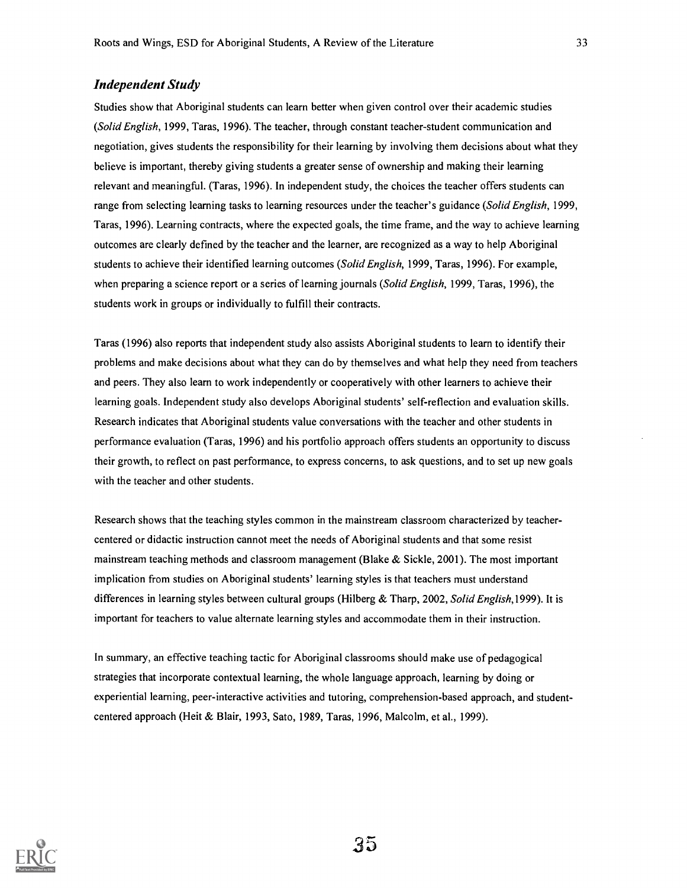Studies show that Aboriginal students can learn better when given control over their academic studies (Solid English, 1999, Taras, 1996). The teacher, through constant teacher-student communication and negotiation, gives students the responsibility for their learning by involving them decisions about what they believe is important, thereby giving students a greater sense of ownership and making their learning relevant and meaningful. (Taras, 1996). In independent study, the choices the teacher offers students can range from selecting learning tasks to learning resources under the teacher's guidance (Solid English, 1999, Taras, 1996). Learning contracts, where the expected goals, the time frame, and the way to achieve learning outcomes are clearly defined by the teacher and the learner, are recognized as a way to help Aboriginal students to achieve their identified learning outcomes (Solid English, 1999, Taras, 1996). For example, when preparing a science report or a series of learning journals (Solid English, 1999, Taras, 1996), the students work in groups or individually to fulfill their contracts.

Taras (1996) also reports that independent study also assists Aboriginal students to learn to identify their problems and make decisions about what they can do by themselves and what help they need from teachers and peers. They also learn to work independently or cooperatively with other learners to achieve their learning goals. Independent study also develops Aboriginal students' self-reflection and evaluation skills. Research indicates that Aboriginal students value conversations with the teacher and other students in performance evaluation (Taras, 1996) and his portfolio approach offers students an opportunity to discuss their growth, to reflect on past performance, to express concerns, to ask questions, and to set up new goals with the teacher and other students.

Research shows that the teaching styles common in the mainstream classroom characterized by teachercentered or didactic instruction cannot meet the needs of Aboriginal students and that some resist mainstream teaching methods and classroom management (Blake  $&$  Sickle, 2001). The most important implication from studies on Aboriginal students' learning styles is that teachers must understand differences in learning styles between cultural groups (Hilberg & Tharp, 2002, Solid English, 1999). It is important for teachers to value alternate learning styles and accommodate them in their instruction.

In summary, an effective teaching tactic for Aboriginal classrooms should make use of pedagogical strategies that incorporate contextual learning, the whole language approach, learning by doing or experiential learning, peer-interactive activities and tutoring, comprehension-based approach, and studentcentered approach (Heit & Blair, 1993, Sato, 1989, Taras, 1996, Malcolm, et al., 1999).



.35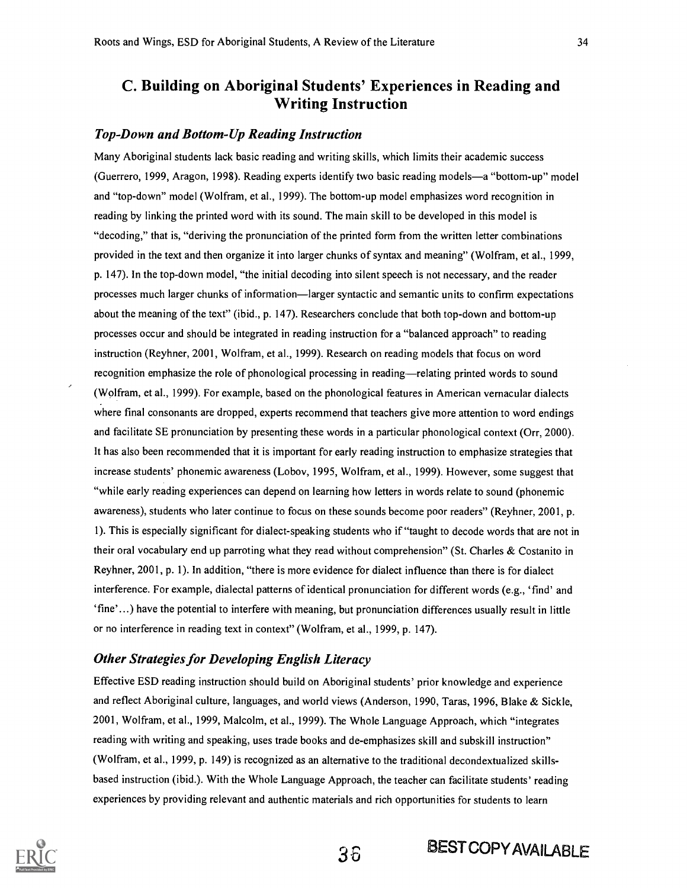## C. Building on Aboriginal Students' Experiences in Reading and Writing Instruction

### Top-Down and Bottom-Up Reading Instruction

Many Aboriginal students lack basic reading and writing skills, which limits their academic success (Guerrero, 1999, Aragon, 1998). Reading experts identify two basic reading models—a "bottom-up" model and "top-down" model (Wolfram, et al., 1999). The bottom-up model emphasizes word recognition in reading by linking the printed word with its sound. The main skill to be developed in this model is "decoding," that is, "deriving the pronunciation of the printed form from the written letter combinations provided in the text and then organize it into larger chunks of syntax and meaning" (Wolfram, et al., 1999, p. 147). In the top-down model, "the initial decoding into silent speech is not necessary, and the reader processes much larger chunks of information—larger syntactic and semantic units to confirm expectations about the meaning of the text" (ibid., p. 147). Researchers conclude that both top-down and bottom-up processes occur and should be integrated in reading instruction for a "balanced approach" to reading instruction (Reyhner, 2001, Wolfram, et al., 1999). Research on reading models that focus on word recognition emphasize the role of phonological processing in reading—relating printed words to sound (Wolfram, et al., 1999). For example, based on the phonological features in American vernacular dialects where final consonants are dropped, experts recommend that teachers give more attention to word endings and facilitate SE pronunciation by presenting these words in a particular phonological context (Orr, 2000). It has also been recommended that it is important for early reading instruction to emphasize strategies that increase students' phonemic awareness (Lobov, 1995, Wolfram, et al., 1999). However, some suggest that "while early reading experiences can depend on learning how letters in words relate to sound (phonemic awareness), students who later continue to focus on these sounds become poor readers" (Reyhner, 2001, p. 1). This is especially significant for dialect-speaking students who if "taught to decode words that are not in their oral vocabulary end up parroting what they read without comprehension" (St. Charles & Costanito in Reyhner, 2001, p. 1). In addition, "there is more evidence for dialect influence than there is for dialect interference. For example, dialectal patterns of identical pronunciation for different words (e.g., 'find' and `fine'...) have the potential to interfere with meaning, but pronunciation differences usually result in little or no interference in reading text in context" (Wolfram, et al., 1999, p. 147).

#### Other Strategies for Developing English Literacy

Effective ESD reading instruction should build on Aboriginal students' prior knowledge and experience and reflect Aboriginal culture, languages, and world views (Anderson, 1990, Taras, 1996, Blake & Sickle, 2001, Wolfram, et al., 1999, Malcolm, et al., 1999). The Whole Language Approach, which "integrates reading with writing and speaking, uses trade books and de-emphasizes skill and subskill instruction" (Wolfram, et al., 1999, p. 149) is recognized as an alternative to the traditional decondextualized skillsbased instruction (ibid.). With the Whole Language Approach, the teacher can facilitate students' reading experiences by providing relevant and authentic materials and rich opportunities for students to learn

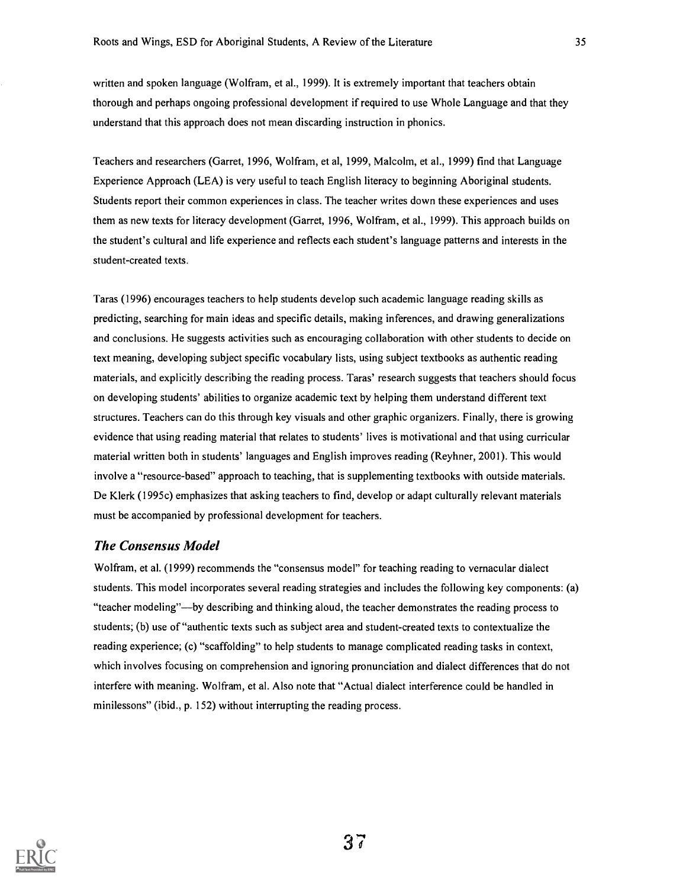written and spoken language (Wolfram, et al., 1999). It is extremely important that teachers obtain thorough and perhaps ongoing professional development if required to use Whole Language and that they understand that this approach does not mean discarding instruction in phonics.

Teachers and researchers (Garret, 1996, Wolfram, et al, 1999, Malcolm, et al., 1999) find that Language Experience Approach (LEA) is very useful to teach English literacy to beginning Aboriginal students. Students report their common experiences in class. The teacher writes down these experiences and uses them as new texts for literacy development (Garret, 1996, Wolfram, et al., 1999). This approach builds on the student's cultural and life experience and reflects each student's language patterns and interests in the student-created texts.

Taras (1996) encourages teachers to help students develop such academic language reading skills as predicting, searching for main ideas and specific details, making inferences, and drawing generalizations and conclusions. He suggests activities such as encouraging collaboration with other students to decide on text meaning, developing subject specific vocabulary lists, using subject textbooks as authentic reading materials, and explicitly describing the reading process. Taras' research suggests that teachers should focus on developing students' abilities to organize academic text by helping them understand different text structures. Teachers can do this through key visuals and other graphic organizers. Finally, there is growing evidence that using reading material that relates to students' lives is motivational and that using curricular material written both in students' languages and English improves reading (Reyhner, 2001). This would involve a "resource-based" approach to teaching, that is supplementing textbooks with outside materials. De Klerk (1995c) emphasizes that asking teachers to find, develop or adapt culturally relevant materials must be accompanied by professional development for teachers.

#### The Consensus Model

Wolfram, et al. (1999) recommends the "consensus model" for teaching reading to vernacular dialect students. This model incorporates several reading strategies and includes the following key components: (a) "teacher modeling"—by describing and thinking aloud, the teacher demonstrates the reading process to students; (b) use of "authentic texts such as subject area and student-created texts to contextualize the reading experience; (c) "scaffolding" to help students to manage complicated reading tasks in context, which involves focusing on comprehension and ignoring pronunciation and dialect differences that do not interfere with meaning. Wolfram, et al. Also note that "Actual dialect interference could be handled in minilessons" (ibid., p. 152) without interrupting the reading process.

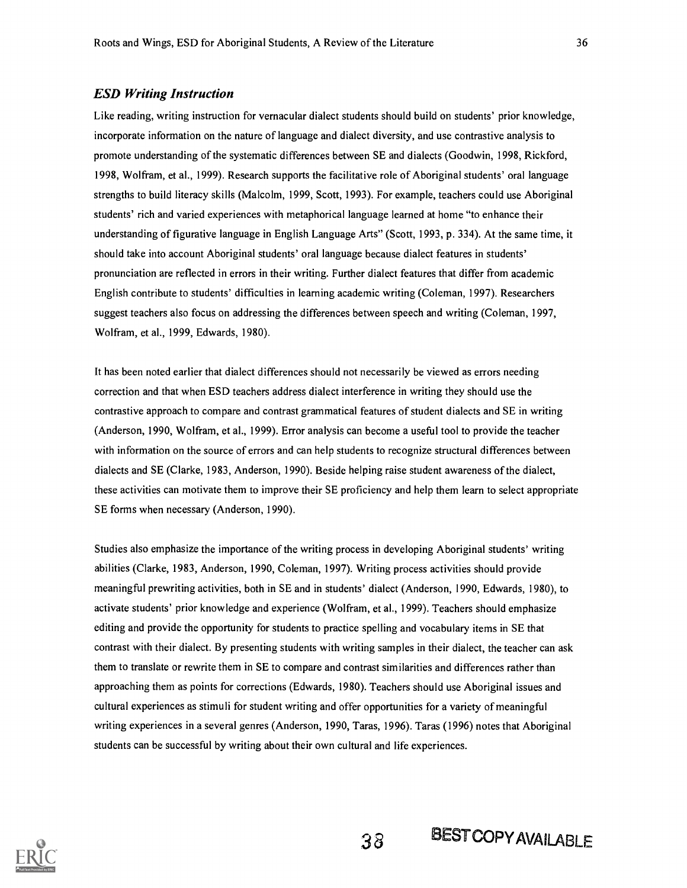#### ESD Writing Instruction

Like reading, writing instruction for vernacular dialect students should build on students' prior knowledge, incorporate information on the nature of language and dialect diversity, and use contrastive analysis to promote understanding of the systematic differences between SE and dialects (Goodwin, 1998, Rickford, 1998, Wolfram, et al., 1999). Research supports the facilitative role of Aboriginal students' oral language strengths to build literacy skills (Malcolm, 1999, Scott, 1993). For example, teachers could use Aboriginal students' rich and varied experiences with metaphorical language learned at home "to enhance their understanding of figurative language in English Language Arts" (Scott, 1993, p. 334). At the same time, it should take into account Aboriginal students' oral language because dialect features in students' pronunciation are reflected in errors in their writing. Further dialect features that differ from academic English contribute to students' difficulties in learning academic writing (Coleman, 1997). Researchers suggest teachers also focus on addressing the differences between speech and writing (Coleman, 1997, Wolfram, et al., 1999, Edwards, 1980).

It has been noted earlier that dialect differences should not necessarily be viewed as errors needing correction and that when ESD teachers address dialect interference in writing they should use the contrastive approach to compare and contrast grammatical features of student dialects and SE in writing (Anderson, 1990, Wolfram, et al., 1999). Error analysis can become a useful tool to provide the teacher with information on the source of errors and can help students to recognize structural differences between dialects and SE (Clarke, 1983, Anderson, 1990). Beside helping raise student awareness of the dialect, these activities can motivate them to improve their SE proficiency and help them learn to select appropriate SE forms when necessary (Anderson, 1990).

Studies also emphasize the importance of the writing process in developing Aboriginal students' writing abilities (Clarke, 1983, Anderson, 1990, Coleman, 1997). Writing process activities should provide meaningful prewriting activities, both in SE and in students' dialect (Anderson, 1990, Edwards, 1980), to activate students' prior knowledge and experience (Wolfram, et al., 1999). Teachers should emphasize editing and provide the opportunity for students to practice spelling and vocabulary items in SE that contrast with their dialect. By presenting students with writing samples in their dialect, the teacher can ask them to translate or rewrite them in SE to compare and contrast similarities and differences rather than approaching them as points for corrections (Edwards, 1980). Teachers should use Aboriginal issues and cultural experiences as stimuli for student writing and offer opportunities for a variety of meaningful writing experiences in a several genres (Anderson, 1990, Taras, 1996). Taras (1996) notes that Aboriginal students can be successful by writing about their own cultural and life experiences.

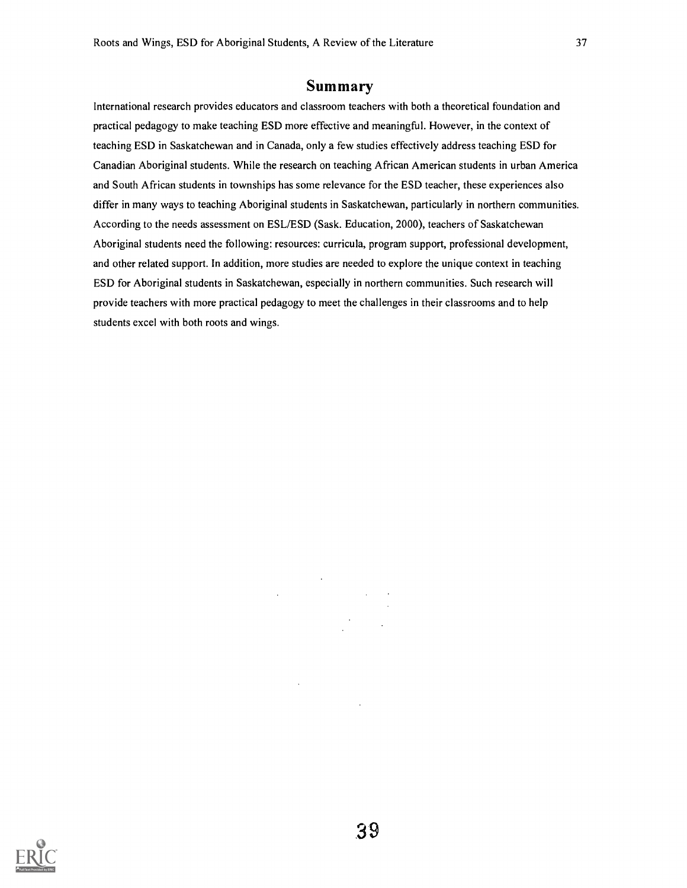## Summary

International research provides educators and classroom teachers with both a theoretical foundation and practical pedagogy to make teaching ESD more effective and meaningful. However, in the context of teaching ESD in Saskatchewan and in Canada, only a few studies effectively address teaching ESD for Canadian Aboriginal students. While the research on teaching African American students in urban America and South African students in townships has some relevance for the ESD teacher, these experiences also differ in many ways to teaching Aboriginal students in Saskatchewan, particularly in northern communities. According to the needs assessment on ESL/ESD (Sask. Education, 2000), teachers of Saskatchewan Aboriginal students need the following: resources: curricula, program support, professional development, and other related support. In addition, more studies are needed to explore the unique context in teaching ESD for Aboriginal students in Saskatchewan, especially in northern communities. Such research will provide teachers with more practical pedagogy to meet the challenges in their classrooms and to help students excel with both roots and wings.

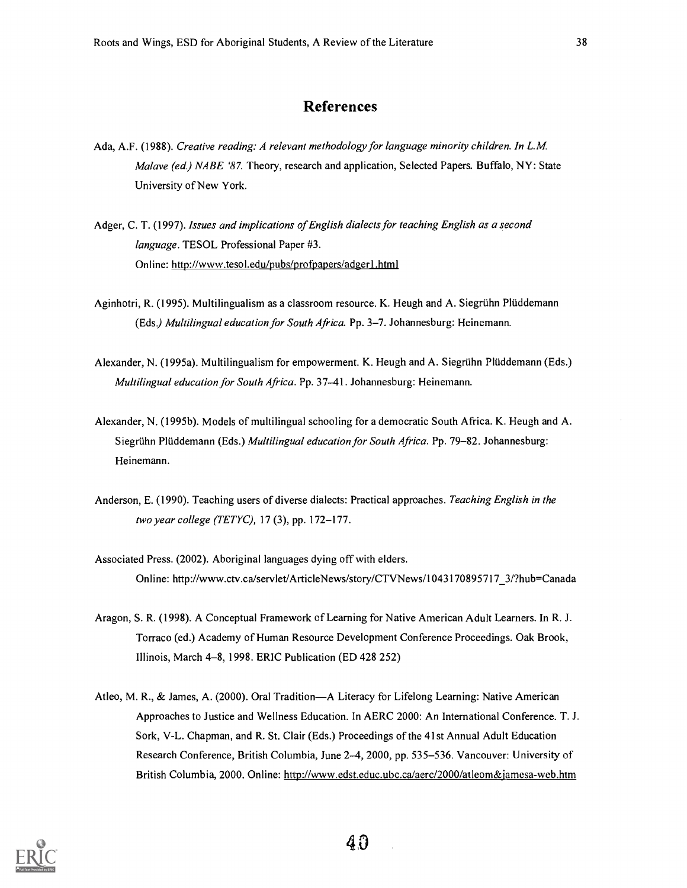## References

- Ada, A.F. (1988). Creative reading: A relevant methodology for language minority children. In L.M. Malave (ed.) NABE '87. Theory, research and application, Selected Papers. Buffalo, NY: State University of New York.
- Adger, C. T. (1997). Issues and implications of English dialects for teaching English as a second language. TESOL Professional Paper #3. Online: http://www.tesol.edu/pubs/profpapers/adgerl.html
- Aginhotri, R. (1995). Multilingualism as a classroom resource. K. Heugh and A. Siegriihn Pluddemann (Eds) Multilingual education for South Africa. Pp. 3-7. Johannesburg: Heinemann.
- Alexander, N. (1995a). Multilingualism for empowerment. K. Heugh and A. Siegriihn Pliiddemann (Eds.) Multilingual education for South Africa. Pp. 37-41. Johannesburg: Heinemann.
- Alexander, N. (1995b). Models of multilingual schooling for a democratic South Africa. K. Heugh and A. Siegrühn Plüddemann (Eds.) Multilingual education for South Africa. Pp. 79-82. Johannesburg: Heinemann.
- Anderson, E. (1990). Teaching users of diverse dialects: Practical approaches. Teaching English in the two year college (TETYC), 17 (3), pp. 172-177.
- Associated Press. (2002). Aboriginal languages dying off with elders. Online: http://www.ctv.ca/servlet/ArticleNews/story/CTVNews/1043170895717\_3/?hub=Canada
- Aragon, S. R. (1998). A Conceptual Framework of Learning for Native American Adult Learners. In R. J. Torraco (ed.) Academy of Human Resource Development Conference Proceedings. Oak Brook, Illinois, March 4-8,1998. ERIC Publication (ED 428 252)
- Atleo, M. R., & James, A. (2000). Oral Tradition—A Literacy for Lifelong Learning: Native American Approaches to Justice and Wellness Education. In AERC 2000: An International Conference. T. J. Sork, V-L. Chapman, and R. St. Clair (Eds.) Proceedings of the 41st Annual Adult Education Research Conference, British Columbia, June 2-4,2000, pp. 535-536. Vancouver: University of British Columbia, 2000. Online: http://www.edst.educ.ubc.ca/aerc/2000/atleom&jamesa-web.htm

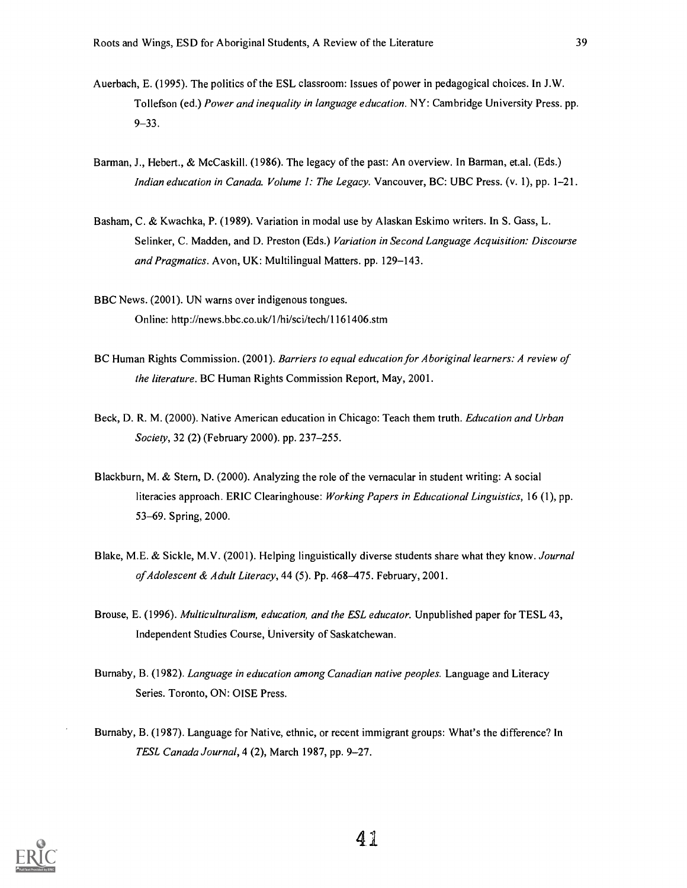- Auerbach, E. (1995). The politics of the ESL classroom: Issues of power in pedagogical choices. In J.W. Tollefson (ed.) Power and inequality in language education. NY: Cambridge University Press. pp. 9-33.
- Barman, J., Hebert., & McCaskill. (1986). The legacy of the past: An overview. In Barman, et.al. (Eds.) Indian education in Canada. Volume 1: The Legacy. Vancouver, BC: UBC Press. (v. 1), pp. 1-21.
- Basham, C. & Kwachka, P. (1989). Variation in modal use by Alaskan Eskimo writers. In S. Gass, L. Selinker, C. Madden, and D. Preston (Eds.) Variation in Second Language Acquisition: Discourse and Pragmatics. Avon, UK: Multilingual Matters. pp. 129-143.
- BBC News. (2001). UN warns over indigenous tongues. Online: http://news.bbc.co.uk/l/hi/sci/tech/1161406.stm
- BC Human Rights Commission. (2001). Barriers to equal education for Aboriginal learners: A review of the literature. BC Human Rights Commission Report, May, 2001.
- Beck, D. R. M. (2000). Native American education in Chicago: Teach them truth. Education and Urban Society, 32 (2) (February 2000). pp. 237-255.
- Blackburn, M. & Stern, D. (2000). Analyzing the role of the vernacular in student writing: A social literacies approach. ERIC Clearinghouse: Working Papers in Educational Linguistics, 16 (1), pp. 53-69. Spring, 2000.
- Blake, M.E. & Sickle, M.V. (2001). Helping linguistically diverse students share what they know. Journal of Adolescent & Adult Literacy, 44 (5). Pp. 468-475. February, 2001.
- Brouse, E. (1996). Multiculturalism, education, and the ESL educator. Unpublished paper for TESL 43, Independent Studies Course, University of Saskatchewan.
- Burnaby, B. (1982). Language in education among Canadian native peoples. Language and Literacy Series. Toronto, ON: OISE Press.
- Burnaby, B. (1987). Language for Native, ethnic, or recent immigrant groups: What's the difference? In TESL Canada Journal, 4 (2), March 1987, pp. 9-27.

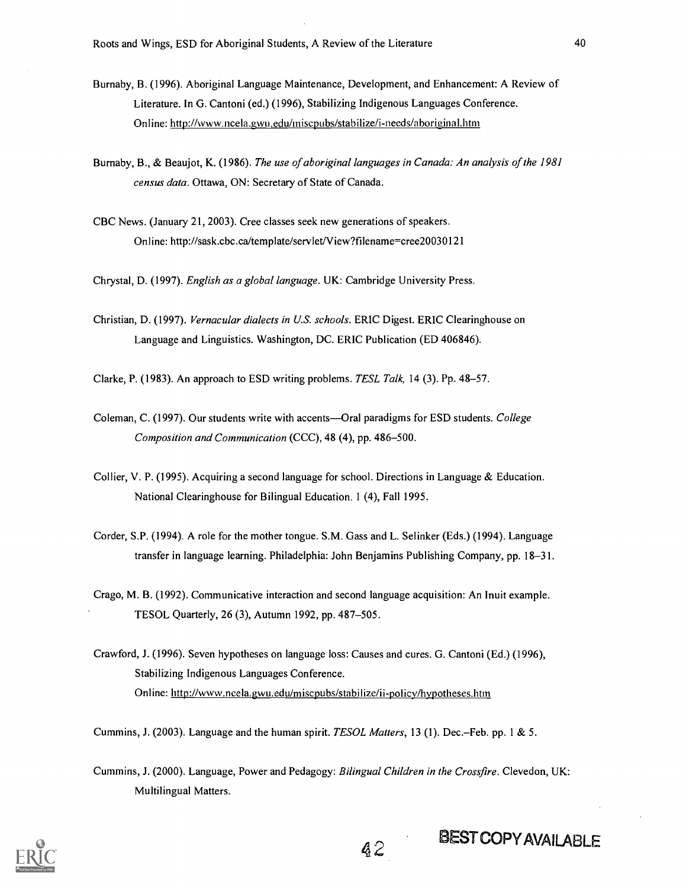- Burnaby, B. (1996). Aboriginal Language Maintenance, Development, and Enhancement: A Review of Literature. In G. Cantoni (ed.) (1996), Stabilizing Indigenous Languages Conference. Online: http://www.ncela.gwiLedu/miscpubs/stabilize/i-needs/aboriginal.htm
- Burnaby, B., & Beaujot, K. (1986). The use of aboriginal languages in Canada: An analysis of the 1981 census data. Ottawa, ON: Secretary of State of Canada.
- CBC News. (January 21, 2003). Cree classes seek new generations of speakers. Online: http://sask.cbc.ca/template/servlet/View?filename=cree20030121

Chrystal, D. (1997). English as a global language. UK: Cambridge University Press.

Christian, D. (1997). Vernacular dialects in U.S. schools. ERIC Digest. ERIC Clearinghouse on Language and Linguistics. Washington, DC. ERIC Publication (ED 406846).

Clarke, P. (1983). An approach to ESD writing problems. TESL Talk, 14 (3). Pp. 48-57.

- Coleman, C. (1997). Our students write with accents—Oral paradigms for ESD students. College Composition and Communication (CCC), 48 (4), pp. 486-500.
- Collier, V. P. (1995). Acquiring a second language for school. Directions in Language & Education. National Clearinghouse for Bilingual Education. 1 (4), Fall 1995.
- Corder, S.P. (1994). A role for the mother tongue. S.M. Gass and L. Selinker (Eds.) (1994). Language transfer in language learning. Philadelphia: John Benjamins Publishing Company, pp. 18-31.
- Crago, M. B. (1992). Communicative interaction and second language acquisition: An Inuit example. TESOL Quarterly, 26 (3), Autumn 1992, pp. 487-505.
- Crawford, J. (1996). Seven hypotheses on language loss: Causes and cures. G. Cantoni (Ed.) (1996), Stabilizing Indigenous Languages Conference. Online: http://www.ncela.gwu.edu/miscpubs/stabilize/ii-policy/hvpotheses.htm

Cummins, J. (2003). Language and the human spirit. TESOL Matters, 13 (1). Dec.-Feb. pp. 1 & 5.

Cummins, J. (2000). Language, Power and Pedagogy: Bilingual Children in the Crossfire. Clevedon, UK: Multilingual Matters.

4 2



## **BEST COPY AVAILABLE**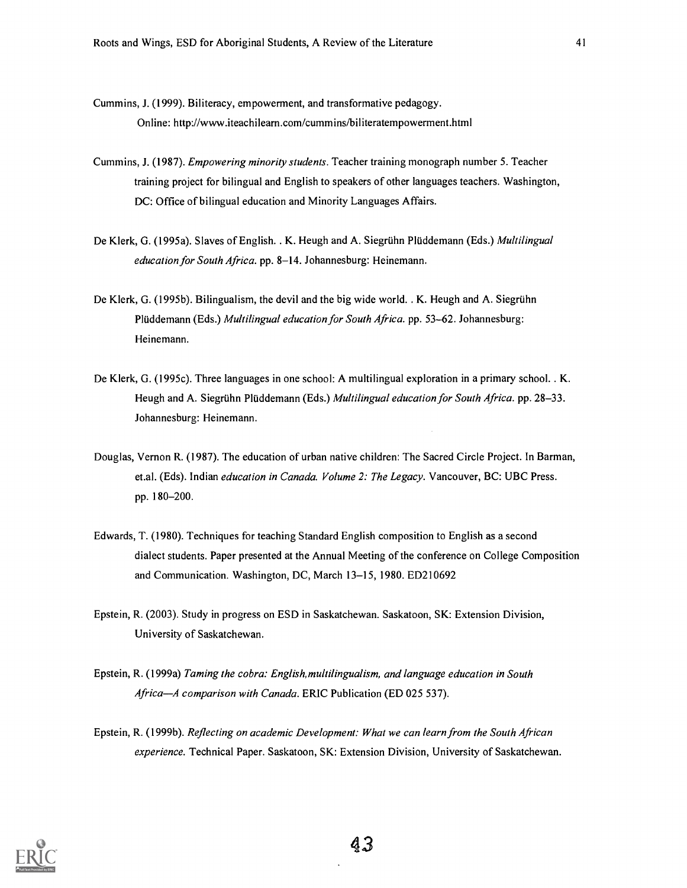Cummins, J. (1999). Biliteracy, empowerment, and transformative pedagogy. Online: http://www.iteachilearn.com/cummins/biliteratempowerment.html

- Cummins, J. (1987). Empowering minority students. Teacher training monograph number 5. Teacher training project for bilingual and English to speakers of other languages teachers. Washington, DC: Office of bilingual education and Minority Languages Affairs.
- De Klerk, G. (1995a). Slaves of English. . K. Heugh and A. Siegrühn Plüddemann (Eds.) Multilingual education for South Africa. pp. 8-14. Johannesburg: Heinemann.
- De Klerk, G. (1995b). Bilingualism, the devil and the big wide world. . K. Heugh and A. Siegruhn Plüddemann (Eds.) Multilingual education for South Africa. pp. 53-62. Johannesburg: Heinemann.
- De Klerk, G. (1995c). Three languages in one school: A multilingual exploration in a primary school. . K. Heugh and A. Siegrühn Plüddemann (Eds.) Multilingual education for South Africa. pp. 28–33. Johannesburg: Heinemann.
- Douglas, Vernon R. (1987). The education of urban native children: The Sacred Circle Project. In Barman, et.al. (Eds). Indian education in Canada. Volume 2: The Legacy. Vancouver, BC: UBC Press. pp. 180-200.
- Edwards, T. (1980). Techniques for teaching Standard English composition to English as a second dialect students. Paper presented at the Annual Meeting of the conference on College Composition and Communication. Washington, DC, March 13-15,1980. ED210692
- Epstein, R. (2003). Study in progress on ESD in Saskatchewan. Saskatoon, SK: Extension Division, University of Saskatchewan.
- Epstein, R. (1999a) Taming the cobra: English,multilingualism, and language education in South Africa-A comparison with Canada. ERIC Publication (ED 025 537).
- Epstein, R. (1999b). Reflecting on academic Development: What we can learn from the South African experience. Technical Paper. Saskatoon, SK: Extension Division, University of Saskatchewan.

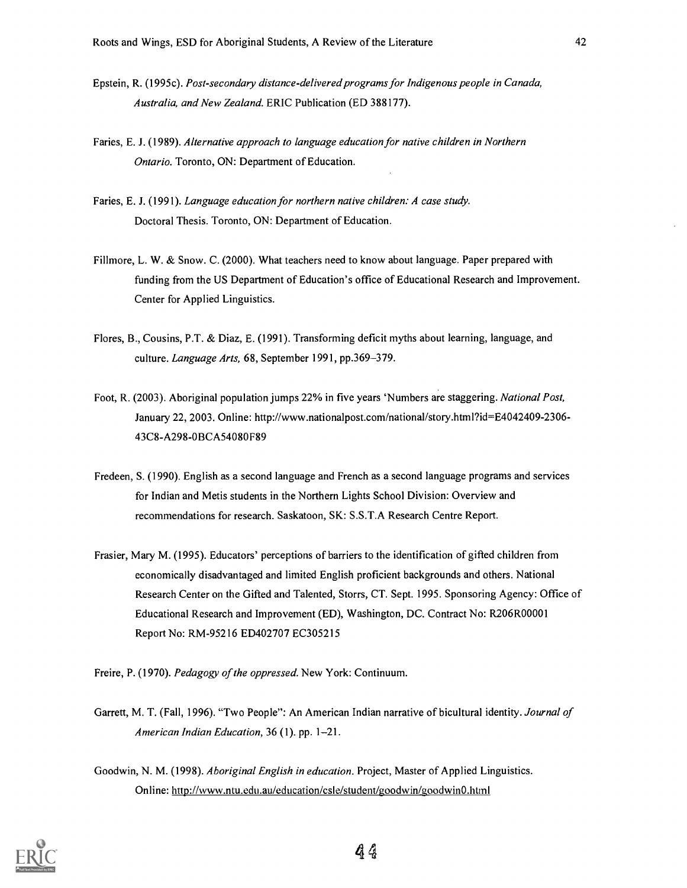- Epstein, R. (1995c). Post-secondary distance-delivered programs for Indigenous people in Canada, Australia, and New Zealand. ERIC Publication (ED 388177).
- Faries, E. J. (1989). Alternative approach to language education for native children in Northern Ontario. Toronto, ON: Department of Education.
- Faries, E. J. (1991). Language education for northern native children: A case study. Doctoral Thesis. Toronto, ON: Department of Education.
- Fillmore, L. W. & Snow. C. (2000). What teachers need to know about language. Paper prepared with funding from the US Department of Education's office of Educational Research and Improvement. Center for Applied Linguistics.
- Flores, B., Cousins, P.T. & Diaz, E. (1991). Transforming deficit myths about learning, language, and culture. Language Arts, 68, September 1991, pp.369-379.
- Foot, R. (2003). Aboriginal population jumps 22% in five years 'Numbers are staggering. National Post, January 22,2003. Online: http://www.nationalpost.cominational/story.html?id=E4042409-2306- 43C8-A298-0BCA54080F89
- Fredeen, S. (1990). English as a second language and French as a second language programs and services for Indian and Metis students in the Northern Lights School Division: Overview and recommendations for research. Saskatoon, SK: S.S.T.A Research Centre Report.
- Frasier, Mary M. (1995). Educators' perceptions of barriers to the identification of gifted children from economically disadvantaged and limited English proficient backgrounds and others. National Research Center on the Gifted and Talented, Storrs, CT. Sept. 1995. Sponsoring Agency: Office of Educational Research and Improvement (ED), Washington, DC. Contract No: R206R00001 Report No: RM-95216 ED402707 EC305215

Freire, P. (1970). Pedagogy of the oppressed. New York: Continuum.

- Garrett, M. T. (Fall, 1996). "Two People": An American Indian narrative of bicultural identity. Journal of American Indian Education, 36 (1). pp. 1-21.
- Goodwin, N. M. (1998). Aboriginal English in education. Project, Master of Applied Linguistics. Online: littp://www.ntu.edu.au/education/csle/student/goodwin/goodwin0.1itml

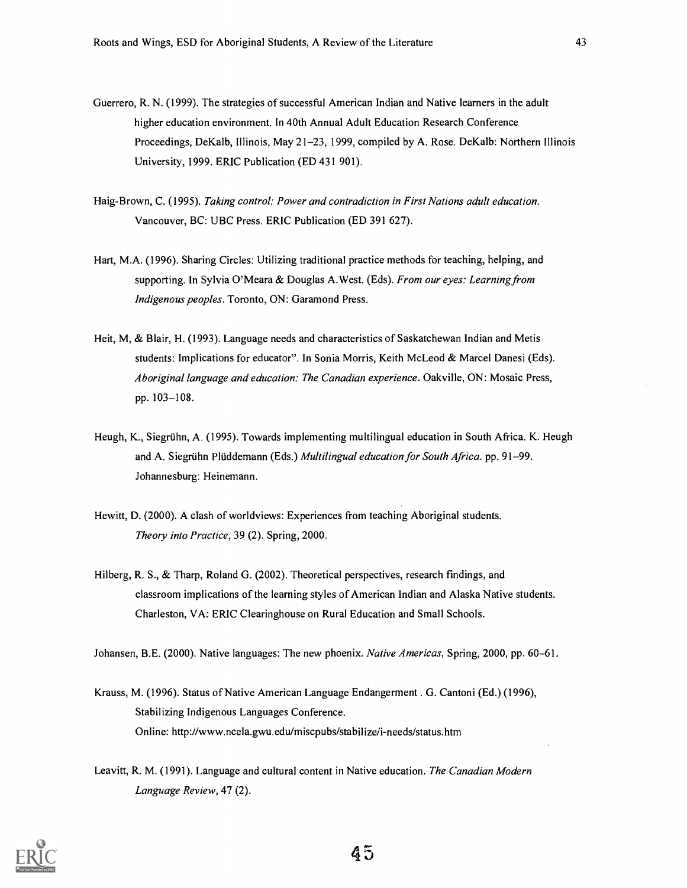- Guerrero, R. N. (1999). The strategies of successful American Indian and Native learners in the adult higher education environment. In 40th Annual Adult Education Research Conference Proceedings, DeKalb, Illinois, May 21-23, 1999, compiled by A. Rose. DeKalb: Northern Illinois University, 1999. ERIC Publication (ED 431 901).
- Haig-Brown, C. (1995). Taking control: Power and contradiction in First Nations adult education. Vancouver, BC: UBC Press. ERIC Publication (ED 391 627).
- Hart, M.A. (1996). Sharing Circles: Utilizing traditional practice methods for teaching, helping, and supporting. In Sylvia O'Meara & Douglas A.West. (Eds). From our eyes: Learning from Indigenous peoples. Toronto, ON: Garamond Press.
- Heit, M, & Blair, H. (1993). Language needs and characteristics of Saskatchewan Indian and Metis students: Implications for educator". In Sonia Morris, Keith McLeod & Marcel Danesi (Eds). Aboriginal language and education: The Canadian experience. Oakville, ON: Mosaic Press, pp. 103-108.
- Heugh, K., Siegriihn, A. (1995). Towards implementing multilingual education in South Africa. K. Heugh and A. Siegrühn Plüddemann (Eds.) Multilingual education for South Africa. pp. 91–99. Johannesburg: Heinemann.
- Hewitt, D. (2000). A clash of worldviews: Experiences from teaching Aboriginal students. Theory into Practice, 39 (2). Spring, 2000.
- Hilberg, R. S., & Tharp, Roland G. (2002). Theoretical perspectives, research findings, and classroom implications of the learning styles of American Indian and Alaska Native students. Charleston, VA: ERIC Clearinghouse on Rural Education and Small Schools.

Johansen, B.E. (2000). Native languages: The new phoenix. Native Americas, Spring, 2000, pp. 60–61.

- Krauss, M. (1996). Status of Native American Language Endangerment . G. Cantoni (Ed.) (1996), Stabilizing Indigenous Languages Conference. Online: http://www.ncela.gwu.edu/miscpubs/stabilize/i-needs/status.htm
- Leavitt, R. M. (1991). Language and cultural content in Native education. The Canadian Modern Language Review, 47 (2).

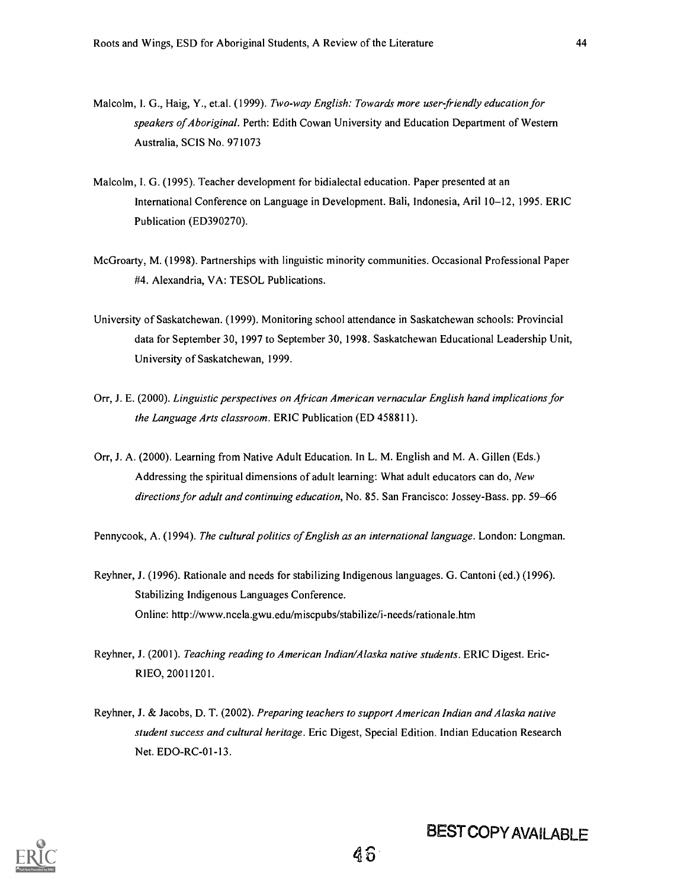- Malcolm, I. G., Haig, Y., et.al. (1999). Two-way English: Towards more user-friendly education for speakers of Aboriginal. Perth: Edith Cowan University and Education Department of Western Australia, SCIS No. 971073
- Malcolm, I. G. (1995). Teacher development for bidialectal education. Paper presented at an International Conference on Language in Development. Bali, Indonesia, Aril 10-12, 1995. ERIC Publication (ED390270).
- McGroarty, M. (1998). Partnerships with linguistic minority communities. Occasional Professional Paper #4. Alexandria, VA: TESOL Publications.
- University of Saskatchewan. (1999). Monitoring school attendance in Saskatchewan schools: Provincial data for September 30, 1997 to September 30, 1998. Saskatchewan Educational Leadership Unit, University of Saskatchewan, 1999.
- Orr, J. E. (2000). Linguistic perspectives on African American vernacular English hand implications for the Language Arts classroom. ERIC Publication (ED 458811).
- Orr, J. A. (2000). Learning from Native Adult Education. In L. M. English and M. A. Gillen (Eds.) Addressing the spiritual dimensions of adult learning: What adult educators can do, New directions for adult and continuing education, No. 85. San Francisco: Jossey-Bass. pp. 59-66

Pennycook, A. (1994). The cultural politics of English as an international language. London: Longman.

- Reyhner, J. (1996). Rationale and needs for stabilizing Indigenous languages. G. Cantoni (ed.) (1996). Stabilizing Indigenous Languages Conference. Online: http://www.ncela.gwu.edu/miscpubs/stabilize/i-needs/rationale.htm
- Reyhner, J. (2001). Teaching reading to American Indian/Alaska native students. ERIC Digest. Eric-RIEO, 20011201.
- Reyhner, J. & Jacobs, D. T. (2002). Preparing teachers to support American Indian and Alaska native student success and cultural heritage. Eric Digest, Special Edition. Indian Education Research Net. EDO-RC-01-13.

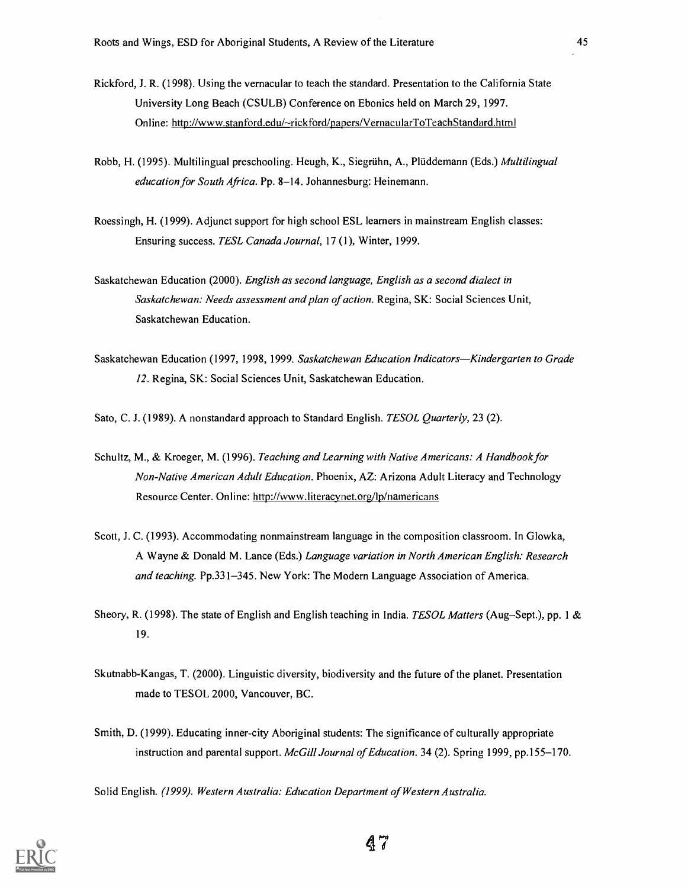- Rickford, J. R. (1998). Using the vernacular to teach the standard. Presentation to the California State University Long Beach (CSULB) Conference on Ebonics held on March 29, 1997. Online: http://www.stanford.edu/~rickford/papers/VernacularToTeachStandard.html
- Robb, H. (1995). Multilingual preschooling. Heugh, K., Siegrühn, A., Plüddemann (Eds.) Multilingual education for South Africa. Pp. 8-14. Johannesburg: Heinemann.
- Roessingh, H. (1999). Adjunct support for high school ESL learners in mainstream English classes: Ensuring success. TESL Canada Journal, 17 (1), Winter, 1999.
- Saskatchewan Education (2000). English as second language, English as a second dialect in Saskatchewan: Needs assessment and plan of action. Regina, SK: Social Sciences Unit, Saskatchewan Education.
- Saskatchewan Education (1997, 1998, 1999. Saskatchewan Education Indicators-Kindergarten to Grade 12. Regina, SK: Social Sciences Unit, Saskatchewan Education.

Sato, C. J. (1989). A nonstandard approach to Standard English. TESOL Quarterly, 23 (2).

- Schultz, M., & Kroeger, M. (1996). Teaching and Learning with Native Americans: A Handbook for Non-Native American Adult Education. Phoenix, AZ: Arizona Adult Literacy and Technology Resource Center. Online: http://www.literacynet.org/Ip/namericans
- Scott, J. C. (1993). Accommodating nonmainstream language in the composition classroom. In Glowka, A Wayne & Donald M. Lance (Eds.) Language variation in North American English: Research and teaching. Pp.331-345. New York: The Modern Language Association of America.
- Sheory, R. (1998). The state of English and English teaching in India. TESOL Matters (Aug-Sept.), pp. 1 & 19.
- Skutnabb-Kangas, T. (2000). Linguistic diversity, biodiversity and the future of the planet. Presentation made to TESOL 2000, Vancouver, BC.
- Smith, D. (1999). Educating inner-city Aboriginal students: The significance of culturally appropriate instruction and parental support. McGill Journal of Education. 34 (2). Spring 1999, pp.155-170.

Solid English. (1999). Western Australia: Education Department of Western Australia.

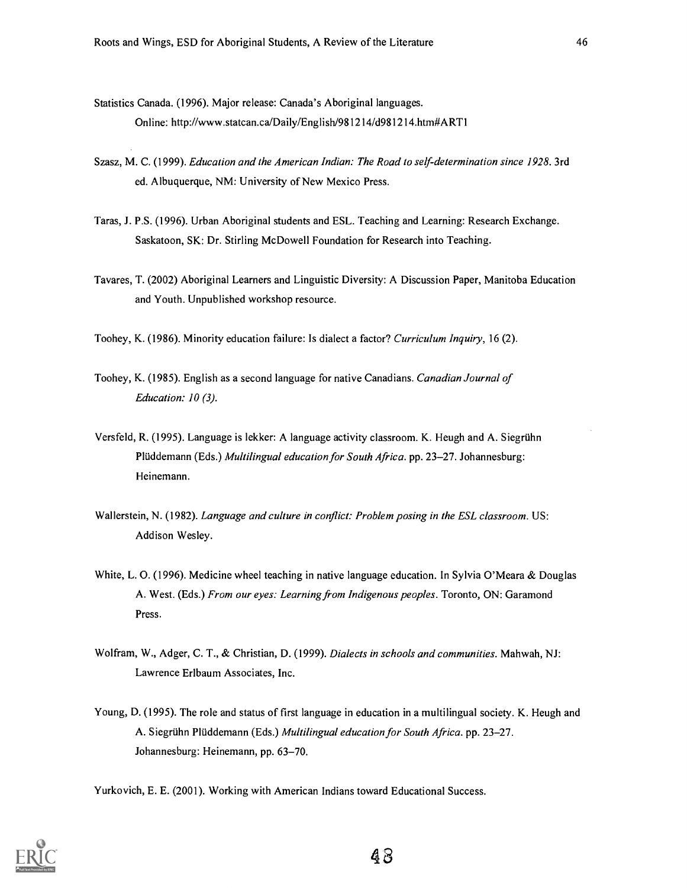Statistics Canada. (1996). Major release: Canada's Aboriginal languages. Online: http://www.statcan.ca/Daily/English/981214/d981214.htm#ART1

- Szasz, M. C. (1999). Education and the American Indian: The Road to self-determination since 1928. 3rd ed. Albuquerque, NM: University of New Mexico Press.
- Taras, J. P.S. (1996). Urban Aboriginal students and ESL. Teaching and Learning: Research Exchange. Saskatoon, SK: Dr. Stirling McDowell Foundation for Research into Teaching.
- Tavares, T. (2002) Aboriginal Learners and Linguistic Diversity: A Discussion Paper, Manitoba Education and Youth. Unpublished workshop resource.
- Toohey, K. (1986). Minority education failure: Is dialect a factor? Curriculum Inquiry, 16 (2).
- Toohey, K. (1985). English as a second language for native Canadians. Canadian Journal of Education: 10 (3).
- Versfeld, R. (1995). Language is lekker: A language activity classroom. K. Heugh and A. Siegruhn Plüddemann (Eds.) Multilingual education for South Africa. pp. 23-27. Johannesburg: Heinemann.
- Wallerstein, N. (1982). Language and culture in conflict: Problem posing in the ESL classroom. US: Addison Wesley.
- White, L. 0. (1996). Medicine wheel teaching in native language education. In Sylvia O'Meara & Douglas A. West. (Eds.) From our eyes: Learning from Indigenous peoples. Toronto, ON: Garamond Press.
- Wolfram, W., Adger, C. T., & Christian, D. (1999). Dialects in schools and communities. Mahwah, NJ: Lawrence Erlbaum Associates, Inc.
- Young, D. (1995). The role and status of first language in education in a multilingual society. K. Heugh and A. Siegrühn Plüddemann (Eds.) Multilingual education for South Africa. pp. 23-27. Johannesburg: Heinemann, pp. 63-70.

Yurkovich, E. E. (2001). Working with American Indians toward Educational Success.

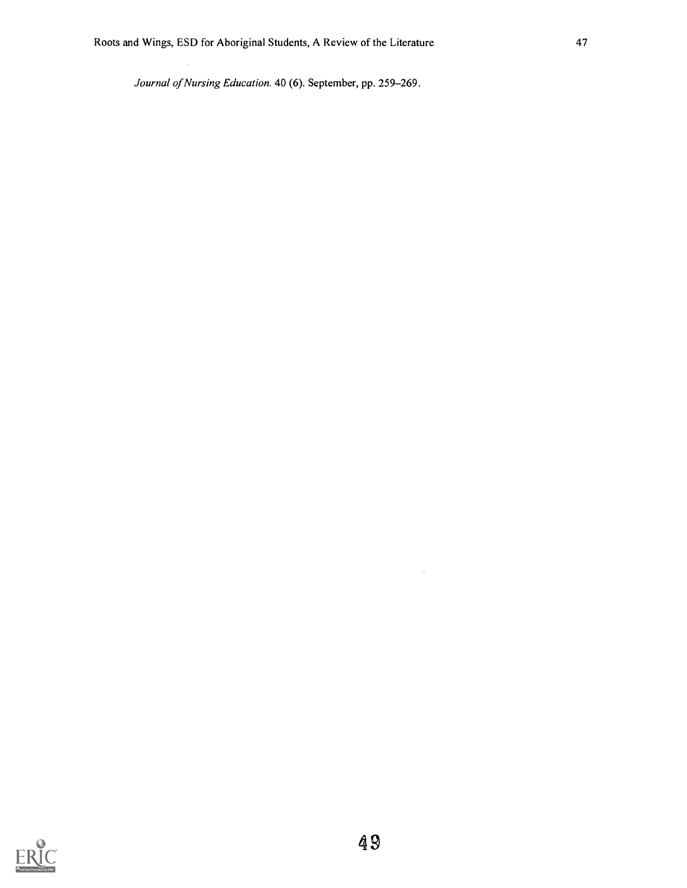Journal of Nursing Education. 40 (6). September, pp. 259-269.

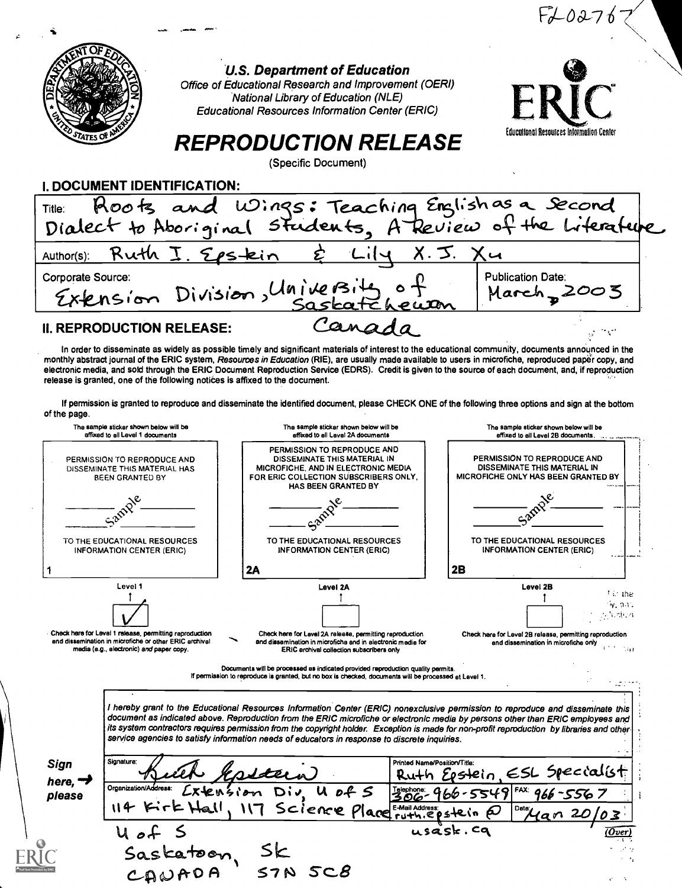

U.S. Department of Education Office of Educational Research and Improvement (OEM) National Library of Education (NLE)

Educational Resources Information Center (ERIC)



# REPRODUCTION RELEASE

(Specific Document)

| <b>I. DOCUMENT IDENTIFICATION:</b>                                                                                |  |  |  |  |  |  |
|-------------------------------------------------------------------------------------------------------------------|--|--|--|--|--|--|
|                                                                                                                   |  |  |  |  |  |  |
| Title: Roots and Wings: Teaching Englishes a Second<br>Dialect to Aboriginal Students, A Review of the Literature |  |  |  |  |  |  |
| Author(s): Ruth I. Epstein & Lily X.J. Xu                                                                         |  |  |  |  |  |  |
| <b>Publication Date:</b><br>Corporate Source:<br>Extension Division, University of<br>March 2003                  |  |  |  |  |  |  |
| Canada<br><b>II. REPRODUCTION RELEASE:</b>                                                                        |  |  |  |  |  |  |

In order to disseminate as widely as possible timely and significant materials of interest to the educational community, documents announced in the monthly abstract journal of the ERIC system, Resources in Education (RIE), are usually made available to users in microfiche, reproduced paper copy, and electronic media, and sold through the ERIC Document Reproduction Service (EDRS). Credit is given to the source of each document, and, if reproduction release is granted, one of the following notices is affixed to the document.

If permission is granted to reproduce and disseminate the identified document, please CHECK ONE of the following three options and sign at the bottom of the page.